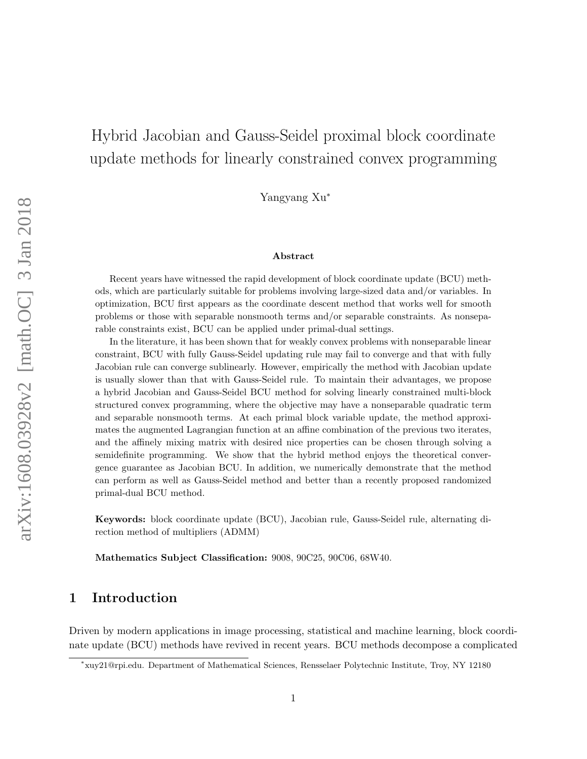# Hybrid Jacobian and Gauss-Seidel proximal block coordinate update methods for linearly constrained convex programming

Yangyang Xu<sup>∗</sup>

#### Abstract

Recent years have witnessed the rapid development of block coordinate update (BCU) methods, which are particularly suitable for problems involving large-sized data and/or variables. In optimization, BCU first appears as the coordinate descent method that works well for smooth problems or those with separable nonsmooth terms and/or separable constraints. As nonseparable constraints exist, BCU can be applied under primal-dual settings.

In the literature, it has been shown that for weakly convex problems with nonseparable linear constraint, BCU with fully Gauss-Seidel updating rule may fail to converge and that with fully Jacobian rule can converge sublinearly. However, empirically the method with Jacobian update is usually slower than that with Gauss-Seidel rule. To maintain their advantages, we propose a hybrid Jacobian and Gauss-Seidel BCU method for solving linearly constrained multi-block structured convex programming, where the objective may have a nonseparable quadratic term and separable nonsmooth terms. At each primal block variable update, the method approximates the augmented Lagrangian function at an affine combination of the previous two iterates, and the affinely mixing matrix with desired nice properties can be chosen through solving a semidefinite programming. We show that the hybrid method enjoys the theoretical convergence guarantee as Jacobian BCU. In addition, we numerically demonstrate that the method can perform as well as Gauss-Seidel method and better than a recently proposed randomized primal-dual BCU method.

Keywords: block coordinate update (BCU), Jacobian rule, Gauss-Seidel rule, alternating direction method of multipliers (ADMM)

Mathematics Subject Classification: 9008, 90C25, 90C06, 68W40.

# 1 Introduction

Driven by modern applications in image processing, statistical and machine learning, block coordinate update (BCU) methods have revived in recent years. BCU methods decompose a complicated

<sup>∗</sup> xuy21@rpi.edu. Department of Mathematical Sciences, Rensselaer Polytechnic Institute, Troy, NY 12180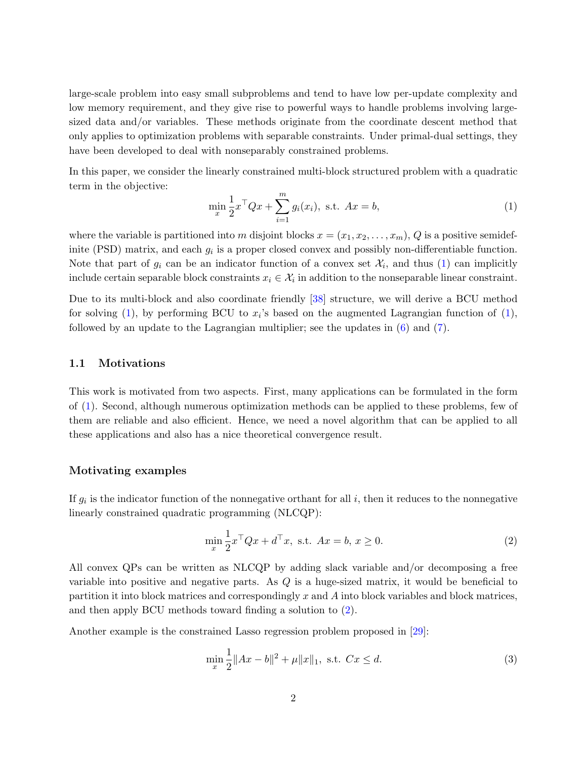<span id="page-1-3"></span>large-scale problem into easy small subproblems and tend to have low per-update complexity and low memory requirement, and they give rise to powerful ways to handle problems involving largesized data and/or variables. These methods originate from the coordinate descent method that only applies to optimization problems with separable constraints. Under primal-dual settings, they have been developed to deal with nonseparably constrained problems.

In this paper, we consider the linearly constrained multi-block structured problem with a quadratic term in the objective:

<span id="page-1-0"></span>
$$
\min_{x} \frac{1}{2} x^{\top} Q x + \sum_{i=1}^{m} g_i(x_i), \text{ s.t. } Ax = b,
$$
\n(1)

where the variable is partitioned into m disjoint blocks  $x = (x_1, x_2, \ldots, x_m)$ , Q is a positive semidefinite (PSD) matrix, and each  $g_i$  is a proper closed convex and possibly non-differentiable function. Note that part of  $g_i$  can be an indicator function of a convex set  $\mathcal{X}_i$ , and thus [\(1\)](#page-1-0) can implicitly include certain separable block constraints  $x_i \in \mathcal{X}_i$  in addition to the nonseparable linear constraint.

Due to its multi-block and also coordinate friendly [\[38\]](#page-28-0) structure, we will derive a BCU method for solving [\(1\)](#page-1-0), by performing BCU to  $x_i$ 's based on the augmented Lagrangian function of (1), followed by an update to the Lagrangian multiplier; see the updates in [\(6\)](#page-6-0) and [\(7\)](#page-6-1).

#### 1.1 Motivations

This work is motivated from two aspects. First, many applications can be formulated in the form of [\(1\)](#page-1-0). Second, although numerous optimization methods can be applied to these problems, few of them are reliable and also efficient. Hence, we need a novel algorithm that can be applied to all these applications and also has a nice theoretical convergence result.

#### Motivating examples

If  $g_i$  is the indicator function of the nonnegative orthant for all  $i$ , then it reduces to the nonnegative linearly constrained quadratic programming (NLCQP):

<span id="page-1-1"></span>
$$
\min_{x} \frac{1}{2} x^{\top} Q x + d^{\top} x, \text{ s.t. } Ax = b, x \ge 0.
$$
 (2)

All convex QPs can be written as NLCQP by adding slack variable and/or decomposing a free variable into positive and negative parts. As  $Q$  is a huge-sized matrix, it would be beneficial to partition it into block matrices and correspondingly x and A into block variables and block matrices, and then apply BCU methods toward finding a solution to [\(2\)](#page-1-1).

Another example is the constrained Lasso regression problem proposed in [\[29\]](#page-27-0):

<span id="page-1-2"></span>
$$
\min_{x} \frac{1}{2} \|Ax - b\|^2 + \mu \|x\|_1, \text{ s.t. } Cx \le d. \tag{3}
$$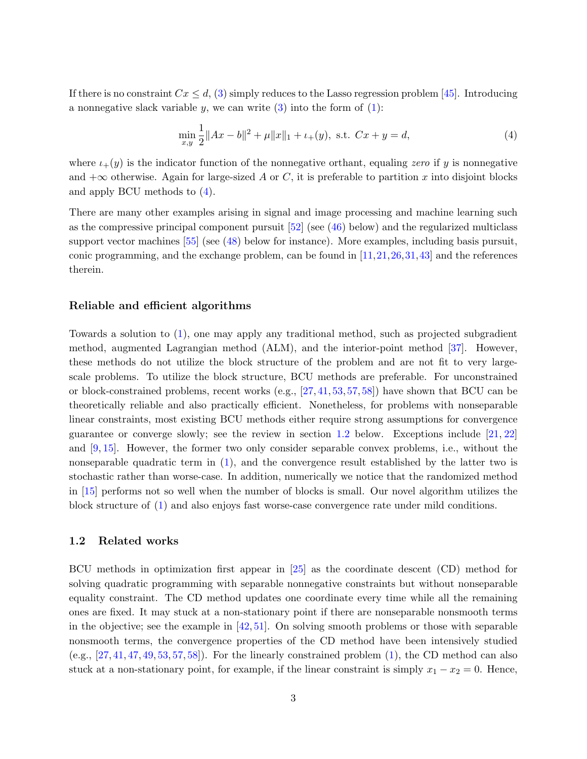<span id="page-2-2"></span>If there is no constraint  $Cx \leq d$ , [\(3\)](#page-1-2) simply reduces to the Lasso regression problem [\[45\]](#page-28-1). Introducing a nonnegative slack variable y, we can write  $(3)$  into the form of  $(1)$ :

<span id="page-2-0"></span>
$$
\min_{x,y} \frac{1}{2} \|Ax - b\|^2 + \mu \|x\|_1 + \mu_+(y), \text{ s.t. } Cx + y = d,
$$
\n(4)

where  $i_{+}(y)$  is the indicator function of the nonnegative orthant, equaling zero if y is nonnegative and  $+\infty$  otherwise. Again for large-sized A or C, it is preferable to partition x into disjoint blocks and apply BCU methods to [\(4\)](#page-2-0).

There are many other examples arising in signal and image processing and machine learning such as the compressive principal component pursuit [\[52\]](#page-29-0) (see [\(46\)](#page-20-0) below) and the regularized multiclass support vector machines [\[55\]](#page-29-1) (see [\(48\)](#page-22-0) below for instance). More examples, including basis pursuit, conic programming, and the exchange problem, can be found in  $[11,21,26,31,43]$  $[11,21,26,31,43]$  $[11,21,26,31,43]$  $[11,21,26,31,43]$  $[11,21,26,31,43]$  and the references therein.

#### Reliable and efficient algorithms

Towards a solution to [\(1\)](#page-1-0), one may apply any traditional method, such as projected subgradient method, augmented Lagrangian method (ALM), and the interior-point method [\[37\]](#page-28-3). However, these methods do not utilize the block structure of the problem and are not fit to very largescale problems. To utilize the block structure, BCU methods are preferable. For unconstrained or block-constrained problems, recent works (e.g., [\[27,](#page-27-4) [41,](#page-28-4) [53,](#page-29-2) [57,](#page-29-3) [58\]](#page-29-4)) have shown that BCU can be theoretically reliable and also practically efficient. Nonetheless, for problems with nonseparable linear constraints, most existing BCU methods either require strong assumptions for convergence guarantee or converge slowly; see the review in section [1.2](#page-2-1) below. Exceptions include [\[21,](#page-27-1) [22\]](#page-27-5) and [\[9,](#page-26-1) [15\]](#page-26-2). However, the former two only consider separable convex problems, i.e., without the nonseparable quadratic term in [\(1\)](#page-1-0), and the convergence result established by the latter two is stochastic rather than worse-case. In addition, numerically we notice that the randomized method in [\[15\]](#page-26-2) performs not so well when the number of blocks is small. Our novel algorithm utilizes the block structure of [\(1\)](#page-1-0) and also enjoys fast worse-case convergence rate under mild conditions.

#### <span id="page-2-1"></span>1.2 Related works

BCU methods in optimization first appear in [\[25\]](#page-27-6) as the coordinate descent (CD) method for solving quadratic programming with separable nonnegative constraints but without nonseparable equality constraint. The CD method updates one coordinate every time while all the remaining ones are fixed. It may stuck at a non-stationary point if there are nonseparable nonsmooth terms in the objective; see the example in [\[42,](#page-28-5) [51\]](#page-29-5). On solving smooth problems or those with separable nonsmooth terms, the convergence properties of the CD method have been intensively studied  $(e.g., [27, 41, 47, 49, 53, 57, 58])$  $(e.g., [27, 41, 47, 49, 53, 57, 58])$  $(e.g., [27, 41, 47, 49, 53, 57, 58])$  $(e.g., [27, 41, 47, 49, 53, 57, 58])$  $(e.g., [27, 41, 47, 49, 53, 57, 58])$  $(e.g., [27, 41, 47, 49, 53, 57, 58])$  $(e.g., [27, 41, 47, 49, 53, 57, 58])$  $(e.g., [27, 41, 47, 49, 53, 57, 58])$  $(e.g., [27, 41, 47, 49, 53, 57, 58])$  $(e.g., [27, 41, 47, 49, 53, 57, 58])$  $(e.g., [27, 41, 47, 49, 53, 57, 58])$  $(e.g., [27, 41, 47, 49, 53, 57, 58])$  $(e.g., [27, 41, 47, 49, 53, 57, 58])$  $(e.g., [27, 41, 47, 49, 53, 57, 58])$  $(e.g., [27, 41, 47, 49, 53, 57, 58])$ . For the linearly constrained problem  $(1)$ , the CD method can also stuck at a non-stationary point, for example, if the linear constraint is simply  $x_1 - x_2 = 0$ . Hence,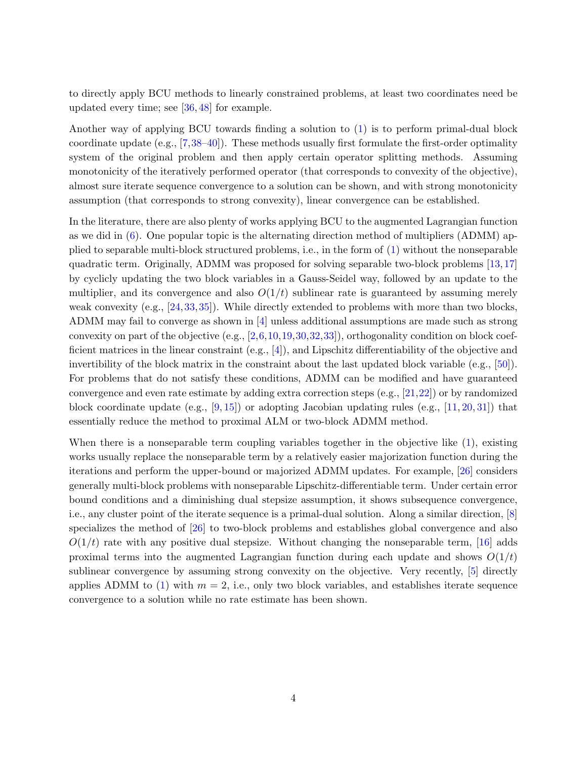<span id="page-3-0"></span>to directly apply BCU methods to linearly constrained problems, at least two coordinates need be updated every time; see [\[36,](#page-28-7) [48\]](#page-28-8) for example.

Another way of applying BCU towards finding a solution to [\(1\)](#page-1-0) is to perform primal-dual block coordinate update (e.g., [\[7,](#page-26-3)[38–](#page-28-0)[40\]](#page-28-9)). These methods usually first formulate the first-order optimality system of the original problem and then apply certain operator splitting methods. Assuming monotonicity of the iteratively performed operator (that corresponds to convexity of the objective), almost sure iterate sequence convergence to a solution can be shown, and with strong monotonicity assumption (that corresponds to strong convexity), linear convergence can be established.

In the literature, there are also plenty of works applying BCU to the augmented Lagrangian function as we did in [\(6\)](#page-6-0). One popular topic is the alternating direction method of multipliers (ADMM) applied to separable multi-block structured problems, i.e., in the form of [\(1\)](#page-1-0) without the nonseparable quadratic term. Originally, ADMM was proposed for solving separable two-block problems [\[13,](#page-26-4)[17\]](#page-26-5) by cyclicly updating the two block variables in a Gauss-Seidel way, followed by an update to the multiplier, and its convergence and also  $O(1/t)$  sublinear rate is guaranteed by assuming merely weak convexity (e.g., [\[24,](#page-27-7)[33,](#page-27-8)[35\]](#page-28-10)). While directly extended to problems with more than two blocks, ADMM may fail to converge as shown in [\[4\]](#page-25-0) unless additional assumptions are made such as strong convexity on part of the objective (e.g.,  $[2,6,10,19,30,32,33]$  $[2,6,10,19,30,32,33]$  $[2,6,10,19,30,32,33]$  $[2,6,10,19,30,32,33]$  $[2,6,10,19,30,32,33]$  $[2,6,10,19,30,32,33]$  $[2,6,10,19,30,32,33]$ ), orthogonality condition on block coefficient matrices in the linear constraint (e.g., [\[4\]](#page-25-0)), and Lipschitz differentiability of the objective and invertibility of the block matrix in the constraint about the last updated block variable (e.g., [\[50\]](#page-29-7)). For problems that do not satisfy these conditions, ADMM can be modified and have guaranteed convergence and even rate estimate by adding extra correction steps (e.g., [\[21,](#page-27-1)[22\]](#page-27-5)) or by randomized block coordinate update (e.g.,  $[9, 15]$  $[9, 15]$  $[9, 15]$ ) or adopting Jacobian updating rules (e.g.,  $[11, 20, 31]$  $[11, 20, 31]$  $[11, 20, 31]$  $[11, 20, 31]$  $[11, 20, 31]$ ) that essentially reduce the method to proximal ALM or two-block ADMM method.

When there is a nonseparable term coupling variables together in the objective like  $(1)$ , existing works usually replace the nonseparable term by a relatively easier majorization function during the iterations and perform the upper-bound or majorized ADMM updates. For example, [\[26\]](#page-27-2) considers generally multi-block problems with nonseparable Lipschitz-differentiable term. Under certain error bound conditions and a diminishing dual stepsize assumption, it shows subsequence convergence, i.e., any cluster point of the iterate sequence is a primal-dual solution. Along a similar direction, [\[8\]](#page-26-9) specializes the method of [\[26\]](#page-27-2) to two-block problems and establishes global convergence and also  $O(1/t)$  rate with any positive dual stepsize. Without changing the nonseparable term, [\[16\]](#page-26-10) adds proximal terms into the augmented Lagrangian function during each update and shows  $O(1/t)$ sublinear convergence by assuming strong convexity on the objective. Very recently, [\[5\]](#page-25-3) directly applies ADMM to [\(1\)](#page-1-0) with  $m = 2$ , i.e., only two block variables, and establishes iterate sequence convergence to a solution while no rate estimate has been shown.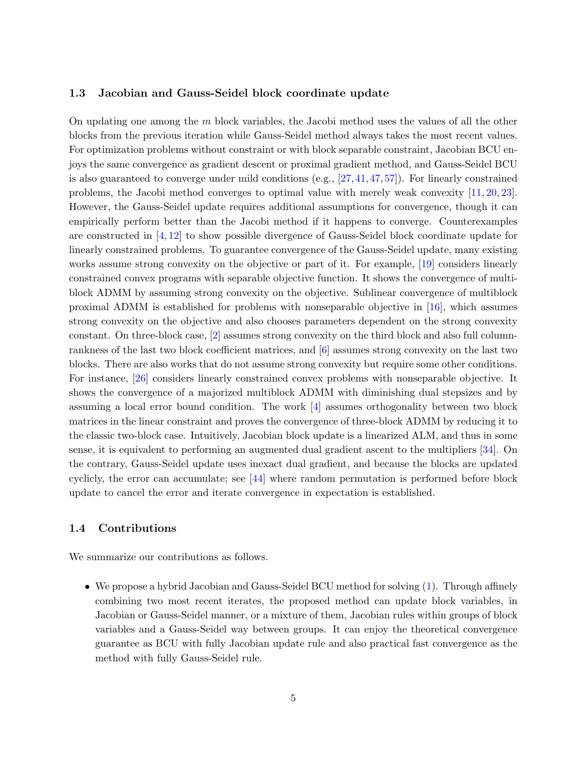#### <span id="page-4-0"></span>1.3 Jacobian and Gauss-Seidel block coordinate update

On updating one among the m block variables, the Jacobi method uses the values of all the other blocks from the previous iteration while Gauss-Seidel method always takes the most recent values. For optimization problems without constraint or with block separable constraint, Jacobian BCU enjoys the same convergence as gradient descent or proximal gradient method, and Gauss-Seidel BCU is also guaranteed to converge under mild conditions  $(e.g., [27,41,47,57])$  $(e.g., [27,41,47,57])$  $(e.g., [27,41,47,57])$  $(e.g., [27,41,47,57])$  $(e.g., [27,41,47,57])$  $(e.g., [27,41,47,57])$ . For linearly constrained problems, the Jacobi method converges to optimal value with merely weak convexity [\[11,](#page-26-0) [20,](#page-26-8) [23\]](#page-27-11). However, the Gauss-Seidel update requires additional assumptions for convergence, though it can empirically perform better than the Jacobi method if it happens to converge. Counterexamples are constructed in [\[4,](#page-25-0) [12\]](#page-26-11) to show possible divergence of Gauss-Seidel block coordinate update for linearly constrained problems. To guarantee convergence of the Gauss-Seidel update, many existing works assume strong convexity on the objective or part of it. For example, [\[19\]](#page-26-7) considers linearly constrained convex programs with separable objective function. It shows the convergence of multiblock ADMM by assuming strong convexity on the objective. Sublinear convergence of multiblock proximal ADMM is established for problems with nonseparable objective in [\[16\]](#page-26-10), which assumes strong convexity on the objective and also chooses parameters dependent on the strong convexity constant. On three-block case, [\[2\]](#page-25-1) assumes strong convexity on the third block and also full columnrankness of the last two block coefficient matrices, and [\[6\]](#page-25-2) assumes strong convexity on the last two blocks. There are also works that do not assume strong convexity but require some other conditions. For instance, [\[26\]](#page-27-2) considers linearly constrained convex problems with nonseparable objective. It shows the convergence of a majorized multiblock ADMM with diminishing dual stepsizes and by assuming a local error bound condition. The work [\[4\]](#page-25-0) assumes orthogonality between two block matrices in the linear constraint and proves the convergence of three-block ADMM by reducing it to the classic two-block case. Intuitively, Jacobian block update is a linearized ALM, and thus in some sense, it is equivalent to performing an augmented dual gradient ascent to the multipliers [\[34\]](#page-27-12). On the contrary, Gauss-Seidel update uses inexact dual gradient, and because the blocks are updated cyclicly, the error can accumulate; see [\[44\]](#page-28-11) where random permutation is performed before block update to cancel the error and iterate convergence in expectation is established.

#### 1.4 Contributions

We summarize our contributions as follows.

• We propose a hybrid Jacobian and Gauss-Seidel BCU method for solving [\(1\)](#page-1-0). Through affinely combining two most recent iterates, the proposed method can update block variables, in Jacobian or Gauss-Seidel manner, or a mixture of them, Jacobian rules within groups of block variables and a Gauss-Seidel way between groups. It can enjoy the theoretical convergence guarantee as BCU with fully Jacobian update rule and also practical fast convergence as the method with fully Gauss-Seidel rule.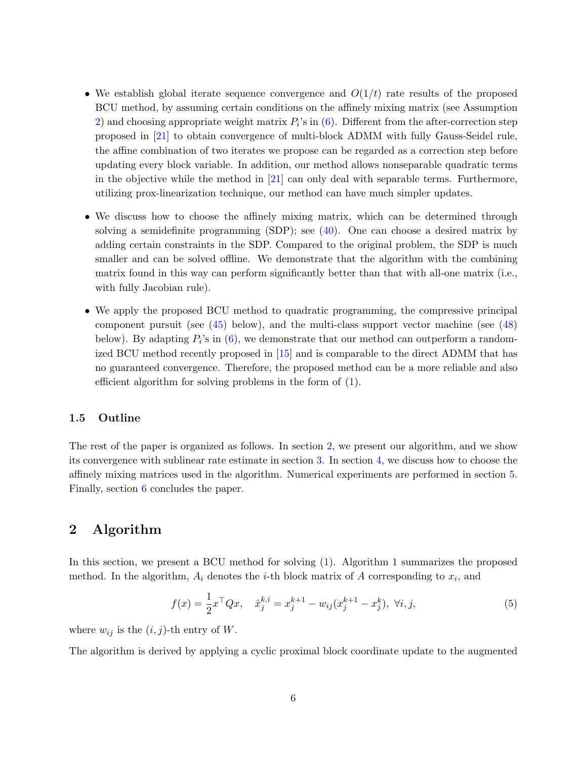- <span id="page-5-1"></span>• We establish global iterate sequence convergence and  $O(1/t)$  rate results of the proposed BCU method, by assuming certain conditions on the affinely mixing matrix (see Assumption [2\)](#page-8-0) and choosing appropriate weight matrix  $P_i$ 's in  $(6)$ . Different from the after-correction step proposed in [\[21\]](#page-27-1) to obtain convergence of multi-block ADMM with fully Gauss-Seidel rule, the affine combination of two iterates we propose can be regarded as a correction step before updating every block variable. In addition, our method allows nonseparable quadratic terms in the objective while the method in [\[21\]](#page-27-1) can only deal with separable terms. Furthermore, utilizing prox-linearization technique, our method can have much simpler updates.
- We discuss how to choose the affinely mixing matrix, which can be determined through solving a semidefinite programming (SDP); see [\(40\)](#page-15-0). One can choose a desired matrix by adding certain constraints in the SDP. Compared to the original problem, the SDP is much smaller and can be solved offline. We demonstrate that the algorithm with the combining matrix found in this way can perform significantly better than that with all-one matrix (i.e., with fully Jacobian rule).
- We apply the proposed BCU method to quadratic programming, the compressive principal component pursuit (see [\(45\)](#page-19-0) below), and the multi-class support vector machine (see [\(48\)](#page-22-0) below). By adapting  $P_i$ 's in  $(6)$ , we demonstrate that our method can outperform a randomized BCU method recently proposed in [\[15\]](#page-26-2) and is comparable to the direct ADMM that has no guaranteed convergence. Therefore, the proposed method can be a more reliable and also efficient algorithm for solving problems in the form of [\(1\)](#page-1-0).

## 1.5 Outline

The rest of the paper is organized as follows. In section [2,](#page-5-0) we present our algorithm, and we show its convergence with sublinear rate estimate in section [3.](#page-7-0) In section [4,](#page-14-0) we discuss how to choose the affinely mixing matrices used in the algorithm. Numerical experiments are performed in section [5.](#page-17-0) Finally, section [6](#page-24-0) concludes the paper.

## <span id="page-5-0"></span>2 Algorithm

In this section, we present a BCU method for solving [\(1\)](#page-1-0). Algorithm [1](#page-6-2) summarizes the proposed method. In the algorithm,  $A_i$  denotes the *i*-th block matrix of A corresponding to  $x_i$ , and

$$
f(x) = \frac{1}{2}x^{\top}Qx, \quad \hat{x}_j^{k,i} = x_j^{k+1} - w_{ij}(x_j^{k+1} - x_j^k), \ \forall i, j,
$$
 (5)

where  $w_{ij}$  is the  $(i, j)$ -th entry of W.

The algorithm is derived by applying a cyclic proximal block coordinate update to the augmented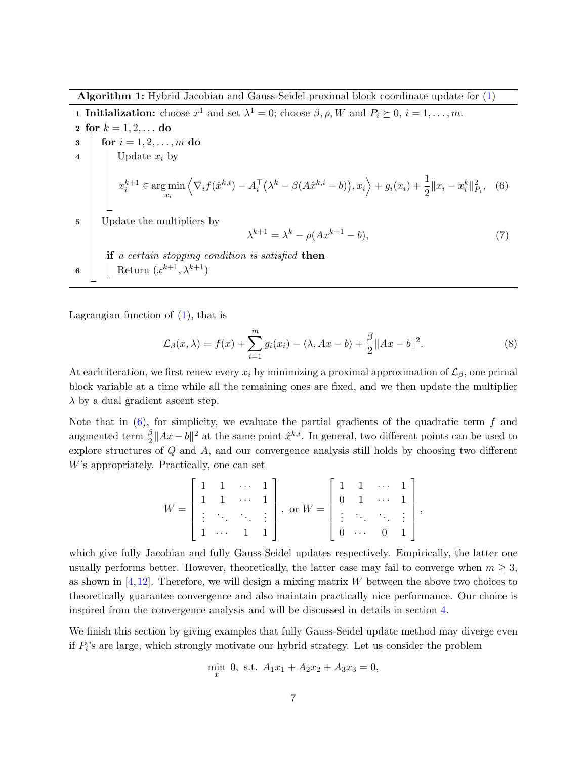<span id="page-6-3"></span>Algorithm 1: Hybrid Jacobian and Gauss-Seidel proximal block coordinate update for [\(1\)](#page-1-0)

<span id="page-6-2"></span>**1 Initialization:** choose  $x^1$  and set  $\lambda^1 = 0$ ; choose  $\beta, \rho, W$  and  $P_i \succeq 0, i = 1, ..., m$ . 2 for  $k = 1, 2, ...$  do 3 for  $i = 1, 2, ..., m$  do 4 | Update  $x_i$  by  $x_i^{k+1} \in \argmin_{x_i}$  $\left\langle \nabla_i f(\hat{x}^{k,i}) - A_i^{\top} (\lambda^k - \beta (A\hat{x}^{k,i} - b)), x_i \right\rangle + g_i(x_i) + \frac{1}{2} \|x_i - x_i^k\|_{P_i}^2$ , (6) 5 Update the multipliers by  $\lambda^{k+1} = \lambda^k - \rho(Ax^{k+1} - b),$ (7) if a certain stopping condition is satisfied then 6 | Return  $(x^{k+1}, \lambda^{k+1})$ 

Lagrangian function of  $(1)$ , that is

<span id="page-6-1"></span><span id="page-6-0"></span>
$$
\mathcal{L}_{\beta}(x,\lambda) = f(x) + \sum_{i=1}^{m} g_i(x_i) - \langle \lambda, Ax - b \rangle + \frac{\beta}{2} \|Ax - b\|^2.
$$
 (8)

At each iteration, we first renew every  $x_i$  by minimizing a proximal approximation of  $\mathcal{L}_{\beta}$ , one primal block variable at a time while all the remaining ones are fixed, and we then update the multiplier  $\lambda$  by a dual gradient ascent step.

Note that in  $(6)$ , for simplicity, we evaluate the partial gradients of the quadratic term f and augmented term  $\frac{\beta}{2}||Ax-b||^2$  at the same point  $\hat{x}^{k,i}$ . In general, two different points can be used to explore structures of Q and A, and our convergence analysis still holds by choosing two different W's appropriately. Practically, one can set

$$
W = \begin{bmatrix} 1 & 1 & \cdots & 1 \\ 1 & 1 & \cdots & 1 \\ \vdots & \ddots & \ddots & \vdots \\ 1 & \cdots & 1 & 1 \end{bmatrix}, \text{ or } W = \begin{bmatrix} 1 & 1 & \cdots & 1 \\ 0 & 1 & \cdots & 1 \\ \vdots & \ddots & \ddots & \vdots \\ 0 & \cdots & 0 & 1 \end{bmatrix},
$$

which give fully Jacobian and fully Gauss-Seidel updates respectively. Empirically, the latter one usually performs better. However, theoretically, the latter case may fail to converge when  $m \geq 3$ , as shown in  $[4,12]$  $[4,12]$ . Therefore, we will design a mixing matrix W between the above two choices to theoretically guarantee convergence and also maintain practically nice performance. Our choice is inspired from the convergence analysis and will be discussed in details in section [4.](#page-14-0)

We finish this section by giving examples that fully Gauss-Seidel update method may diverge even if  $P_i$ 's are large, which strongly motivate our hybrid strategy. Let us consider the problem

$$
\min_{x} 0, \text{ s.t. } A_1x_1 + A_2x_2 + A_3x_3 = 0,
$$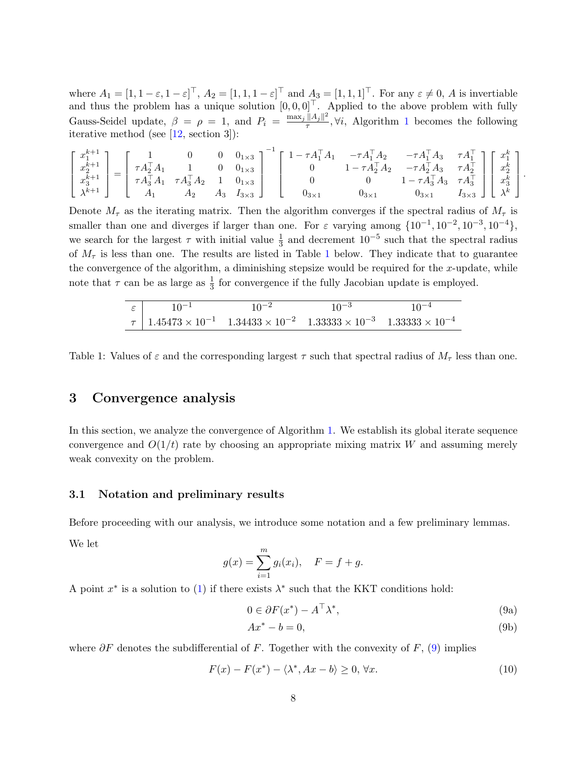<span id="page-7-4"></span>where  $A_1 = [1, 1-\varepsilon, 1-\varepsilon]^\top$ ,  $A_2 = [1, 1, 1-\varepsilon]^\top$  and  $A_3 = [1, 1, 1]^\top$ . For any  $\varepsilon \neq 0$ , A is invertiable and thus the problem has a unique solution  $[0, 0, 0]^{\top}$ . Applied to the above problem with fully Gauss-Seidel update,  $\beta = \rho = 1$ , and  $P_i = \frac{\max_j ||A_j||^2}{\tau}$  $\frac{d\mathcal{A}_{j\parallel}}{\tau}$ ,  $\forall i$ , Algorithm [1](#page-6-2) becomes the following iterative method (see [\[12,](#page-26-11) section 3]):

$$
\left[ \begin{array}{c} x_1^{k+1} \\ x_2^{k+1} \\ x_3^{k+1} \\ \lambda^{k+1} \\ \lambda^{k+1} \\ \end{array} \right] = \left[ \begin{array}{cccc} 1 & 0 & 0 & 0_{1\times 3} \\ \tau A_2^\top A_1 & 1 & 0 & 0_{1\times 3} \\ \tau A_3^\top A_1 & \tau A_3^\top A_2 & 1 & 0_{1\times 3} \\ A_1 & A_2 & A_3 & I_{3\times 3} \\ \end{array} \right]^{-1} \left[ \begin{array}{cccc} 1 - \tau A_1^\top A_1 & - \tau A_1^\top A_2 & - \tau A_1^\top A_3 & \tau A_1^\top \\ 0 & 1 - \tau A_2^\top A_2 & - \tau A_2^\top A_3 & \tau A_2^\top \\ 0 & 0 & 1 - \tau A_3^\top A_3 & \tau A_3^\top \\ 0_{3\times 1} & 0_{3\times 1} & 0_{3\times 1} & I_{3\times 3} \\ \end{array} \right] \left[ \begin{array}{c} x_1^k \\ x_2^k \\ x_3^k \\ \lambda^k \\ \end{array} \right]
$$

.

Denote  $M_{\tau}$  as the iterating matrix. Then the algorithm converges if the spectral radius of  $M_{\tau}$  is smaller than one and diverges if larger than one. For  $\varepsilon$  varying among  $\{10^{-1}, 10^{-2}, 10^{-3}, 10^{-4}\},$ we search for the largest  $\tau$  with initial value  $\frac{1}{3}$  and decrement 10<sup>-5</sup> such that the spectral radius of  $M_{\tau}$  is less than one. The results are listed in Table [1](#page-7-1) below. They indicate that to guarantee the convergence of the algorithm, a diminishing stepsize would be required for the  $x$ -update, while note that  $\tau$  can be as large as  $\frac{1}{3}$  for convergence if the fully Jacobian update is employed.

|  | $10^{-2}$                                                                                                    | $10^{-3}$ | $10^{-4}$ |
|--|--------------------------------------------------------------------------------------------------------------|-----------|-----------|
|  | $\tau$   $1.45473 \times 10^{-1}$ $1.34433 \times 10^{-2}$ $1.33333 \times 10^{-3}$ $1.33333 \times 10^{-4}$ |           |           |

<span id="page-7-1"></span>Table 1: Values of  $\varepsilon$  and the corresponding largest  $\tau$  such that spectral radius of  $M_{\tau}$  less than one.

## <span id="page-7-0"></span>3 Convergence analysis

In this section, we analyze the convergence of Algorithm [1.](#page-6-2) We establish its global iterate sequence convergence and  $O(1/t)$  rate by choosing an appropriate mixing matrix W and assuming merely weak convexity on the problem.

#### 3.1 Notation and preliminary results

Before proceeding with our analysis, we introduce some notation and a few preliminary lemmas.

We let

$$
g(x) = \sum_{i=1}^{m} g_i(x_i), \quad F = f + g.
$$

A point  $x^*$  is a solution to [\(1\)](#page-1-0) if there exists  $\lambda^*$  such that the KKT conditions hold:

<span id="page-7-2"></span>
$$
0 \in \partial F(x^*) - A^\top \lambda^*,\tag{9a}
$$

$$
Ax^* - b = 0,\t\t(9b)
$$

where  $\partial F$  denotes the subdifferential of F. Together with the convexity of F, [\(9\)](#page-7-2) implies

<span id="page-7-3"></span>
$$
F(x) - F(x^*) - \langle \lambda^*, Ax - b \rangle \ge 0, \forall x. \tag{10}
$$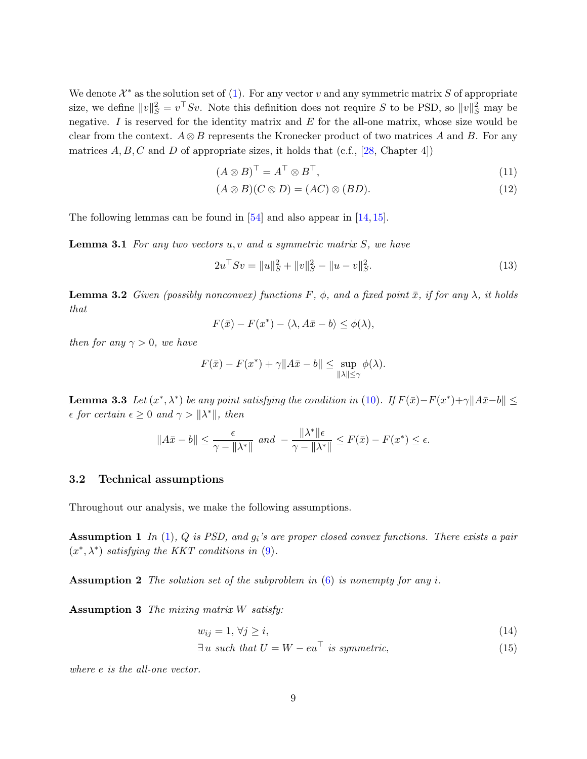<span id="page-8-9"></span>We denote  $\mathcal{X}^*$  as the solution set of [\(1\)](#page-1-0). For any vector v and any symmetric matrix S of appropriate size, we define  $||v||_S^2 = v^\top S v$ . Note this definition does not require S to be PSD, so  $||v||_S^2$  may be negative. I is reserved for the identity matrix and  $E$  for the all-one matrix, whose size would be clear from the context.  $A \otimes B$  represents the Kronecker product of two matrices A and B. For any matrices  $A, B, C$  and D of appropriate sizes, it holds that (c.f., [\[28,](#page-27-13) Chapter 4])

<span id="page-8-4"></span>
$$
(A \otimes B)^{\top} = A^{\top} \otimes B^{\top}, \tag{11}
$$

$$
(A \otimes B)(C \otimes D) = (AC) \otimes (BD). \tag{12}
$$

The following lemmas can be found in  $[54]$  and also appear in  $[14, 15]$  $[14, 15]$  $[14, 15]$ .

**Lemma 3.1** For any two vectors  $u, v$  and a symmetric matrix  $S$ , we have

<span id="page-8-5"></span>
$$
2u^{\top}Sv = \|u\|_{S}^{2} + \|v\|_{S}^{2} - \|u - v\|_{S}^{2}.
$$
\n(13)

<span id="page-8-7"></span>**Lemma 3.2** Given (possibly nonconvex) functions F,  $\phi$ , and a fixed point  $\bar{x}$ , if for any  $\lambda$ , it holds that

$$
F(\bar{x}) - F(x^*) - \langle \lambda, A\bar{x} - b \rangle \le \phi(\lambda),
$$

then for any  $\gamma > 0$ , we have

$$
F(\bar{x}) - F(x^*) + \gamma \|A\bar{x} - b\| \le \sup_{\|\lambda\| \le \gamma} \phi(\lambda).
$$

<span id="page-8-8"></span>**Lemma 3.3** Let  $(x^*, \lambda^*)$  be any point satisfying the condition in [\(10\)](#page-7-3). If  $F(\bar{x}) - F(x^*) + \gamma ||A\bar{x} - b|| \le$  $\epsilon$  for certain  $\epsilon \geq 0$  and  $\gamma > ||\lambda^*||$ , then

$$
||A\bar{x} - b|| \le \frac{\epsilon}{\gamma - ||\lambda^*||} \text{ and } -\frac{||\lambda^*||\epsilon}{\gamma - ||\lambda^*||} \le F(\bar{x}) - F(x^*) \le \epsilon.
$$

#### 3.2 Technical assumptions

<span id="page-8-6"></span>Throughout our analysis, we make the following assumptions.

**Assumption 1** In  $(1)$ , Q is PSD, and  $g_i$ 's are proper closed convex functions. There exists a pair  $(x^*, \lambda^*)$  satisfying the KKT conditions in [\(9\)](#page-7-2).

<span id="page-8-0"></span>**Assumption 2** The solution set of the subproblem in  $(6)$  is nonempty for any i.

<span id="page-8-3"></span>Assumption 3 The mixing matrix W satisfy:

$$
w_{ij} = 1, \forall j \ge i,\tag{14}
$$

<span id="page-8-2"></span><span id="page-8-1"></span> $\exists u \text{ such that } U = W - eu^{\top} \text{ is symmetric,}$  (15)

where e is the all-one vector.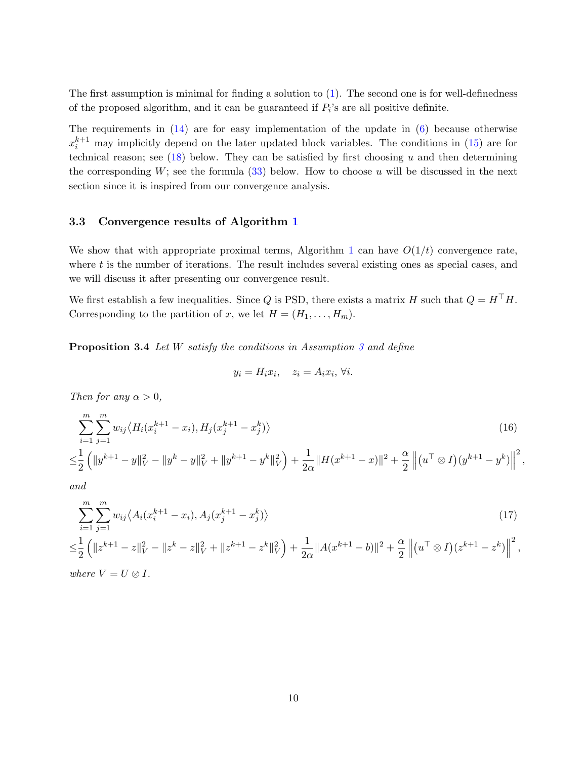The first assumption is minimal for finding a solution to  $(1)$ . The second one is for well-definedness of the proposed algorithm, and it can be guaranteed if  $P_i$ 's are all positive definite.

The requirements in [\(14\)](#page-8-1) are for easy implementation of the update in [\(6\)](#page-6-0) because otherwise  $x_i^{k+1}$  may implicitly depend on the later updated block variables. The conditions in [\(15\)](#page-8-2) are for technical reason; see  $(18)$  below. They can be satisfied by first choosing u and then determining the corresponding  $W$ ; see the formula [\(33\)](#page-14-1) below. How to choose u will be discussed in the next section since it is inspired from our convergence analysis.

#### 3.3 Convergence results of Algorithm [1](#page-6-2)

We show that with appropriate proximal terms, Algorithm [1](#page-6-2) can have  $O(1/t)$  convergence rate, where  $t$  is the number of iterations. The result includes several existing ones as special cases, and we will discuss it after presenting our convergence result.

We first establish a few inequalities. Since Q is PSD, there exists a matrix H such that  $Q = H<sup>T</sup>H$ . Corresponding to the partition of x, we let  $H = (H_1, \ldots, H_m)$ .

<span id="page-9-2"></span>Proposition [3](#page-8-3).4 Let W satisfy the conditions in Assumption 3 and define

$$
y_i = H_i x_i, \quad z_i = A_i x_i, \forall i.
$$

Then for any  $\alpha > 0$ ,

$$
\sum_{i=1}^{m} \sum_{j=1}^{m} w_{ij} \langle H_i(x_i^{k+1} - x_i), H_j(x_j^{k+1} - x_j^k) \rangle
$$
\n
$$
\leq \frac{1}{2} \left( \|y^{k+1} - y\|_V^2 - \|y^k - y\|_V^2 + \|y^{k+1} - y^k\|_V^2 \right) + \frac{1}{2\alpha} \|H(x^{k+1} - x)\|^2 + \frac{\alpha}{2} \left\| (u^\top \otimes I)(y^{k+1} - y^k) \right\|^2
$$
\n(16)

<span id="page-9-1"></span><span id="page-9-0"></span>,

and

$$
\sum_{i=1}^{m} \sum_{j=1}^{m} w_{ij} \langle A_i (x_i^{k+1} - x_i), A_j (x_j^{k+1} - x_j^k) \rangle
$$
\n
$$
\leq \frac{1}{2} \left( \|z^{k+1} - z\|_V^2 - \|z^k - z\|_V^2 + \|z^{k+1} - z^k\|_V^2 \right) + \frac{1}{2\alpha} \|A(x^{k+1} - b)\|^2 + \frac{\alpha}{2} \left\| (u^\top \otimes I)(z^{k+1} - z^k) \right\|^2,
$$
\nwhere  $V = U \otimes I$ . (17)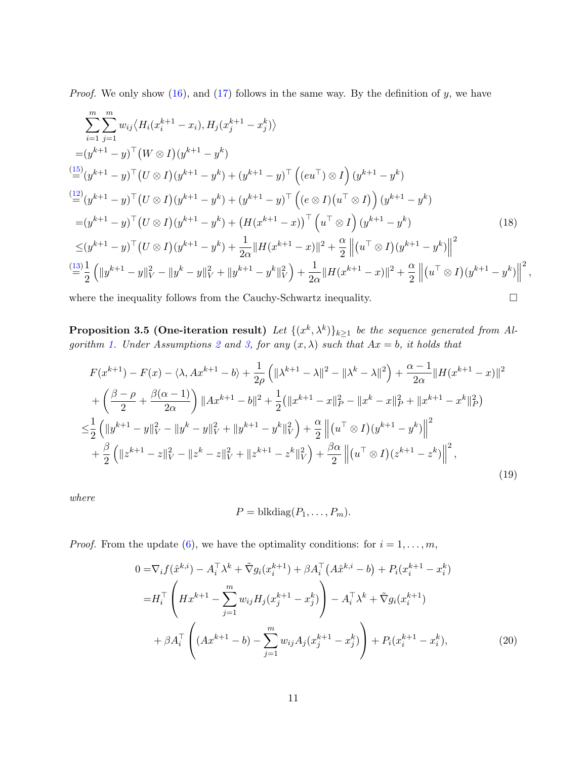*Proof.* We only show  $(16)$ , and  $(17)$  follows in the same way. By the definition of y, we have

$$
\sum_{i=1}^{m} \sum_{j=1}^{m} w_{ij} \langle H_i(x_i^{k+1} - x_i), H_j(x_j^{k+1} - x_j^k) \rangle
$$
  
\n
$$
= (y^{k+1} - y)^\top (W \otimes I)(y^{k+1} - y^k)
$$
  
\n
$$
\stackrel{(15)}{=} (y^{k+1} - y)^\top (U \otimes I)(y^{k+1} - y^k) + (y^{k+1} - y)^\top ((eu^\top) \otimes I)(y^{k+1} - y^k)
$$
  
\n
$$
\stackrel{(12)}{=} (y^{k+1} - y)^\top (U \otimes I)(y^{k+1} - y^k) + (y^{k+1} - y)^\top ((e \otimes I)(u^\top \otimes I))(y^{k+1} - y^k)
$$
  
\n
$$
= (y^{k+1} - y)^\top (U \otimes I)(y^{k+1} - y^k) + (H(x^{k+1} - x))^\top (u^\top \otimes I)(y^{k+1} - y^k)
$$
  
\n
$$
\leq (y^{k+1} - y)^\top (U \otimes I)(y^{k+1} - y^k) + \frac{1}{2\alpha} \|H(x^{k+1} - x)\|^2 + \frac{\alpha}{2} \| (u^\top \otimes I)(y^{k+1} - y^k) \|^2
$$
  
\n
$$
\stackrel{(13)}{=} \frac{1}{2} (||y^{k+1} - y||_V^2 - ||y^k - y||_V^2 + ||y^{k+1} - y^k||_V^2) + \frac{1}{2\alpha} \|H(x^{k+1} - x)\|^2 + \frac{\alpha}{2} \| (u^\top \otimes I)(y^{k+1} - y^k) \|^2,
$$

where the inequality follows from the Cauchy-Schwartz inequality.  $\Box$ 

**Proposition 3.5 (One-iteration result)** Let  $\{(x^k, \lambda^k)\}_{k\geq 1}$  be the sequence generated from Al-gorithm [1.](#page-6-2) Under Assumptions [2](#page-8-0) and [3,](#page-8-3) for any  $(x, \lambda)$  such that  $Ax = b$ , it holds that

$$
F(x^{k+1}) - F(x) - \langle \lambda, Ax^{k+1} - b \rangle + \frac{1}{2\rho} \left( \| \lambda^{k+1} - \lambda \|^2 - \| \lambda^k - \lambda \|^2 \right) + \frac{\alpha - 1}{2\alpha} \| H(x^{k+1} - x) \|^2
$$
  
+ 
$$
\left( \frac{\beta - \rho}{2} + \frac{\beta(\alpha - 1)}{2\alpha} \right) \| Ax^{k+1} - b \|^2 + \frac{1}{2} (\| x^{k+1} - x \|^2 - \| x^k - x \|^2 + \| x^{k+1} - x^k \|^2)
$$
  

$$
\leq \frac{1}{2} \left( \| y^{k+1} - y \|^2 - \| y^k - y \|^2 + \| y^{k+1} - y^k \|^2 + \frac{\alpha}{2} \left( \| (u^\top \otimes I)(y^{k+1} - y^k) \right \|^2 + \frac{\beta}{2} \left( \| z^{k+1} - z \|^2 - \| z^k - z \|^2 + \| z^{k+1} - z^k \|^2 \right) + \frac{\beta \alpha}{2} \left( \| (u^\top \otimes I)(z^{k+1} - z^k) \right \|^2,
$$
  
+ (19)

where

<span id="page-10-2"></span><span id="page-10-1"></span><span id="page-10-0"></span>
$$
P = \text{blkdiag}(P_1, \ldots, P_m).
$$

*Proof.* From the update [\(6\)](#page-6-0), we have the optimality conditions: for  $i = 1, \ldots, m$ ,

$$
0 = \nabla_i f(\hat{x}^{k,i}) - A_i^{\top} \lambda^k + \tilde{\nabla} g_i(x_i^{k+1}) + \beta A_i^{\top} (A \hat{x}^{k,i} - b) + P_i(x_i^{k+1} - x_i^k)
$$
  
\n
$$
= H_i^{\top} \left( H x^{k+1} - \sum_{j=1}^m w_{ij} H_j(x_j^{k+1} - x_j^k) \right) - A_i^{\top} \lambda^k + \tilde{\nabla} g_i(x_i^{k+1})
$$
  
\n
$$
+ \beta A_i^{\top} \left( (Ax^{k+1} - b) - \sum_{j=1}^m w_{ij} A_j(x_j^{k+1} - x_j^k) \right) + P_i(x_i^{k+1} - x_i^k), \tag{20}
$$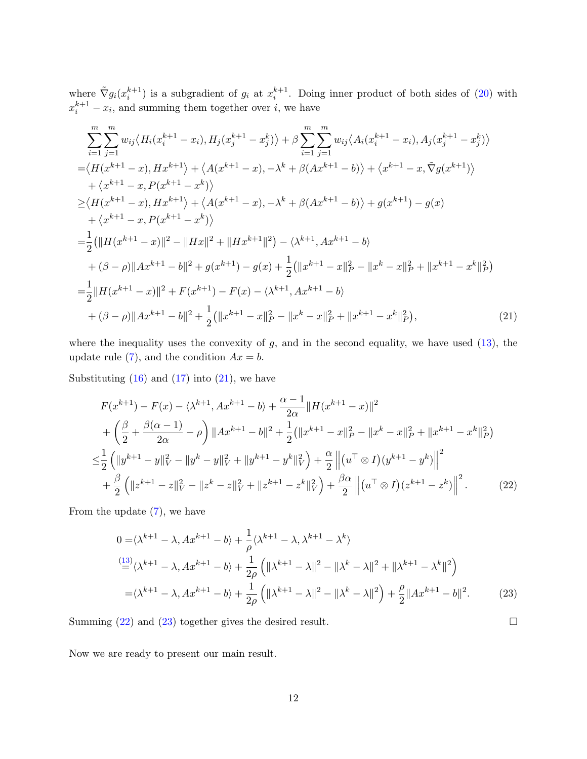where  $\tilde{\nabla} g_i(x_i^{k+1})$  is a subgradient of  $g_i$  at  $x_i^{k+1}$ . Doing inner product of both sides of [\(20\)](#page-10-1) with  $x_i^{k+1} - x_i$ , and summing them together over *i*, we have

$$
\sum_{i=1}^{m} \sum_{j=1}^{m} w_{ij} \langle H_i(x_i^{k+1} - x_i), H_j(x_j^{k+1} - x_j^k) \rangle + \beta \sum_{i=1}^{m} \sum_{j=1}^{m} w_{ij} \langle A_i(x_i^{k+1} - x_i), A_j(x_j^{k+1} - x_j^k) \rangle
$$
  
\n
$$
= \langle H(x^{k+1} - x), Hx^{k+1} \rangle + \langle A(x^{k+1} - x), -\lambda^k + \beta(Ax^{k+1} - b) \rangle + \langle x^{k+1} - x, \tilde{\nabla}g(x^{k+1}) \rangle
$$
  
\n
$$
+ \langle x^{k+1} - x, P(x^{k+1} - x^k) \rangle
$$
  
\n
$$
\geq \langle H(x^{k+1} - x), Hx^{k+1} \rangle + \langle A(x^{k+1} - x), -\lambda^k + \beta(Ax^{k+1} - b) \rangle + g(x^{k+1}) - g(x)
$$
  
\n
$$
+ \langle x^{k+1} - x, P(x^{k+1} - x^k) \rangle
$$
  
\n
$$
= \frac{1}{2} (\| H(x^{k+1} - x) \|^2 - \| Hx \|^2 + \| Hx^{k+1} \|^2) - \langle \lambda^{k+1}, Ax^{k+1} - b \rangle
$$
  
\n
$$
+ (\beta - \rho) \| Ax^{k+1} - b \|^2 + g(x^{k+1}) - g(x) + \frac{1}{2} (\| x^{k+1} - x \|^2 - \| x^k - x \|^2 + \| x^{k+1} - x^k \|^2 - \| B(x^{k+1} - x) \|^2 + F(x^{k+1}) - F(x) - \langle \lambda^{k+1}, Ax^{k+1} - b \rangle
$$
  
\n
$$
+ (\beta - \rho) \| Ax^{k+1} - b \|^2 + \frac{1}{2} (\| x^{k+1} - x \|^2 - \| x^k - x \|^2 + \| x^{k+1} - x^k \|^2 - \| B(x^{k+1} - x^k) \|^2 + \| B(x^{k+1} - x^k) \|^2 + \| B(x^{k+1} - x^k) \|^2 + \| B(x^{k+1} - x^k) \|^2 + \| B(x^{k+1} - x^k) \|^2 + \| B(x^{k+1} - x^k) \|^2 + \|
$$

where the inequality uses the convexity of  $g$ , and in the second equality, we have used  $(13)$ , the update rule [\(7\)](#page-6-1), and the condition  $Ax = b$ .

Substituting  $(16)$  and  $(17)$  into  $(21)$ , we have

$$
F(x^{k+1}) - F(x) - \langle \lambda^{k+1}, Ax^{k+1} - b \rangle + \frac{\alpha - 1}{2\alpha} \| H(x^{k+1} - x) \|^2
$$
  
+ 
$$
\left( \frac{\beta}{2} + \frac{\beta(\alpha - 1)}{2\alpha} - \rho \right) \| Ax^{k+1} - b \|^2 + \frac{1}{2} (\| x^{k+1} - x \|^2 - \| x^k - x \|^2 + \| x^{k+1} - x^k \|^2 - \|\alpha\|^2 - \| x^k - x \|^2 + \| x^{k+1} - x^k \|^2 - \|\alpha\|^2 - \| y^k - y \|^2 + \| y^{k+1} - y^k \|^2 - \|\alpha\|^2 - \| y^k - y \|^2 + \| y^{k+1} - y^k \|^2 - \|\alpha\|^2 - \| y^k - z \|^2 + \| z^{k+1} - z^k \|^2 - \|\alpha\|^2 - \| y^k - z \|^2 - \|\alpha\|^2 - \| y^k - z \|^2 - \|\alpha\|^2 - \| y^k - z \|^2 - \|\alpha\|^2 - \| y^k - z \|^2 - \|\alpha\|^2 - \| y^k - z \|^2 - \|\alpha\|^2 - \| y^k - z \|^2 - \|\alpha\|^2 - \| y^k - z \|^2 - \|\alpha\|^2 - \| y^k - z \|^2 - \|\alpha\|^2 - \| y^k - z \|^2 - \|\alpha\|^2 - \| y^k - z \|^2 - \|\alpha\|^2 - \| y^k - z \|^2 - \|\alpha\|^2 - \| y^k - z \|^2 - \|\alpha\|^2 - \| y^k - z \|^2 - \|\alpha\|^2 - \| y^k - z \|^2 - \|\alpha\|^2 - \| y^k - z \|^2 - \|\alpha\|^2 - \| y^k - z \|^2 - \|\alpha\|^2 - \| y^k - z \|^2 - \|\alpha\|^2 - \| y^k - z \|^2 - \|\alpha\|^2 - \| y^k - z \|^2 - \|\alpha\|^2 - \| y^k - z \|^2 - \|\alpha\|^2 - \| y^k - z \|^2 - \|\alpha\|^2 - \| y^k - z \|^2 - \|\alpha\|^2 - \| y^k - z \|^2 - \|\alpha\|^2 - \| y^k - z \|^2 - \|\alpha\|^2 - \| y^k - z \|^2 - \|\alpha\|^2 - \| y^k - z \|^2 - \|\alpha\|^2 - \| y^k - z \|^2 - \|\alpha\|^2 - \| y^k - z
$$

From the update  $(7)$ , we have

<span id="page-11-3"></span>
$$
0 = \langle \lambda^{k+1} - \lambda, Ax^{k+1} - b \rangle + \frac{1}{\rho} \langle \lambda^{k+1} - \lambda, \lambda^{k+1} - \lambda^k \rangle
$$
  

$$
\stackrel{(13)}{=} \langle \lambda^{k+1} - \lambda, Ax^{k+1} - b \rangle + \frac{1}{2\rho} \left( \| \lambda^{k+1} - \lambda \|^2 - \| \lambda^k - \lambda \|^2 + \| \lambda^{k+1} - \lambda^k \|^2 \right)
$$
  

$$
= \langle \lambda^{k+1} - \lambda, Ax^{k+1} - b \rangle + \frac{1}{2\rho} \left( \| \lambda^{k+1} - \lambda \|^2 - \| \lambda^k - \lambda \|^2 \right) + \frac{\rho}{2} \| Ax^{k+1} - b \|^2.
$$
 (23)

Summing  $(22)$  and  $(23)$  together gives the desired result.

<span id="page-11-2"></span><span id="page-11-1"></span><span id="page-11-0"></span>

Now we are ready to present our main result.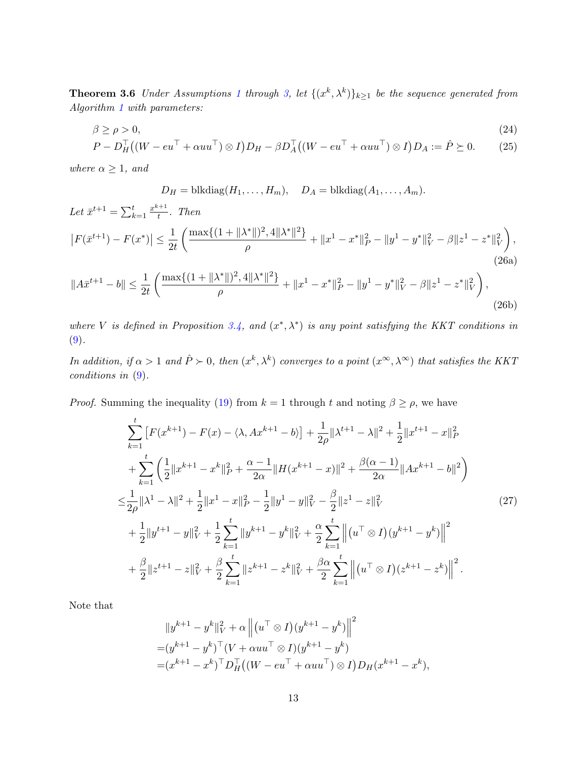**Theorem 3.6** Under Assumptions [1](#page-8-6) through [3,](#page-8-3) let  $\{(x^k, \lambda^k)\}_{k\geq 1}$  be the sequence generated from Algorithm [1](#page-6-2) with parameters:

$$
\beta \ge \rho > 0,
$$
\n
$$
P - D_H^{\top}((W - eu^{\top} + \alpha uu^{\top}) \otimes I)D_H - \beta D_A^{\top}((W - eu^{\top} + \alpha uu^{\top}) \otimes I)D_A := \hat{P} \succeq 0.
$$
\n(24)

where 
$$
\alpha \geq 1
$$
, and

<span id="page-12-2"></span><span id="page-12-0"></span>
$$
D_H
$$
 = blkdiag( $H_1$ ,..., $H_m$ ),  $D_A$  = blkdiag( $A_1$ ,..., $A_m$ ).

Let 
$$
\bar{x}^{t+1} = \sum_{k=1}^{t} \frac{x^{k+1}}{t}
$$
. Then  
\n
$$
|F(\bar{x}^{t+1}) - F(x^*)| \le \frac{1}{2t} \left( \frac{\max\{(1 + ||\lambda^*||)^2, 4||\lambda^*||^2\}}{\rho} + ||x^1 - x^*||^2 - ||y^1 - y^*||^2 - \beta ||z^1 - z^*||^2 \right),
$$
\n(26a)

$$
||A\bar{x}^{t+1} - b|| \le \frac{1}{2t} \left( \frac{\max\{(1 + ||\lambda^*||)^2, 4||\lambda^*||^2\}}{\rho} + ||x^1 - x^*||^2 \rho - ||y^1 - y^*||^2 \rho - \beta ||z^1 - z^*||^2 \right),\tag{26b}
$$

where V is defined in Proposition [3.4,](#page-9-2) and  $(x^*, \lambda^*)$  is any point satisfying the KKT conditions in [\(9\)](#page-7-2).

In addition, if  $\alpha > 1$  and  $\hat{P} \succ 0$ , then  $(x^k, \lambda^k)$  converges to a point  $(x^{\infty}, \lambda^{\infty})$  that satisfies the KKT conditions in [\(9\)](#page-7-2).

*Proof.* Summing the inequality [\(19\)](#page-10-2) from  $k = 1$  through t and noting  $\beta \ge \rho$ , we have

$$
\sum_{k=1}^{t} \left[ F(x^{k+1}) - F(x) - \langle \lambda, Ax^{k+1} - b \rangle \right] + \frac{1}{2\rho} \|\lambda^{t+1} - \lambda\|^2 + \frac{1}{2} \|x^{t+1} - x\|^2_{P} \n+ \sum_{k=1}^{t} \left( \frac{1}{2} \|x^{k+1} - x^k\|^2_{P} + \frac{\alpha - 1}{2\alpha} \|H(x^{k+1} - x)\|^2 + \frac{\beta(\alpha - 1)}{2\alpha} \|Ax^{k+1} - b\|^2 \right) \n\leq \frac{1}{2\rho} \|\lambda^1 - \lambda\|^2 + \frac{1}{2} \|x^1 - x\|^2_{P} - \frac{1}{2} \|y^1 - y\|^2_{V} - \frac{\beta}{2} \|z^1 - z\|^2_{V} \n+ \frac{1}{2} \|y^{t+1} - y\|^2_{V} + \frac{1}{2} \sum_{k=1}^{t} \|y^{k+1} - y^k\|^2_{V} + \frac{\alpha}{2} \sum_{k=1}^{t} \left\| (u^\top \otimes I)(y^{k+1} - y^k) \right\|^2 \n+ \frac{\beta}{2} \|z^{t+1} - z\|^2_{V} + \frac{\beta}{2} \sum_{k=1}^{t} \|z^{k+1} - z^k\|^2_{V} + \frac{\beta \alpha}{2} \sum_{k=1}^{t} \left\| (u^\top \otimes I)(z^{k+1} - z^k) \right\|^2.
$$
\n(27)

Note that

<span id="page-12-1"></span>
$$
||y^{k+1} - y^k||_V^2 + \alpha ||(u^{\top} \otimes I)(y^{k+1} - y^k)||^2
$$
  
=  $(y^{k+1} - y^k)^{\top} (V + \alpha uu^{\top} \otimes I)(y^{k+1} - y^k)$   
=  $(x^{k+1} - x^k)^{\top} D_H^{\top} ((W - eu^{\top} + \alpha uu^{\top}) \otimes I) D_H(x^{k+1} - x^k),$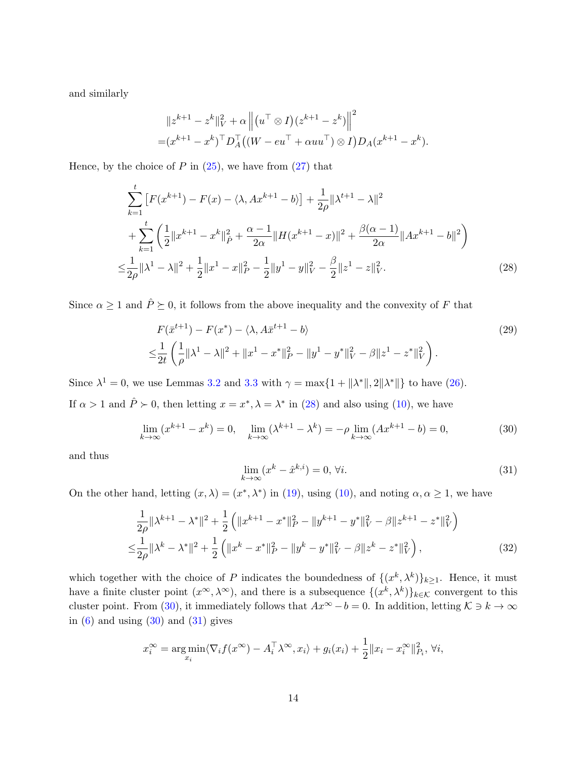and similarly

$$
||z^{k+1} - z^k||_V^2 + \alpha ||(u^\top \otimes I)(z^{k+1} - z^k)||^2
$$
  
=  $(x^{k+1} - x^k)^\top D_A^\top ((W - eu^\top + \alpha uu^\top) \otimes I) D_A(x^{k+1} - x^k).$ 

Hence, by the choice of  $P$  in  $(25)$ , we have from  $(27)$  that

$$
\sum_{k=1}^{t} \left[ F(x^{k+1}) - F(x) - \langle \lambda, Ax^{k+1} - b \rangle \right] + \frac{1}{2\rho} \| \lambda^{t+1} - \lambda \|^2
$$
  
+ 
$$
\sum_{k=1}^{t} \left( \frac{1}{2} \| x^{k+1} - x^k \|_P^2 + \frac{\alpha - 1}{2\alpha} \| H(x^{k+1} - x) \|^2 + \frac{\beta(\alpha - 1)}{2\alpha} \| Ax^{k+1} - b \|^2 \right)
$$
  

$$
\leq \frac{1}{2\rho} \| \lambda^1 - \lambda \|^2 + \frac{1}{2} \| x^1 - x \|^2 - \frac{1}{2} \| y^1 - y \|^2 - \frac{\beta}{2} \| z^1 - z \|^2_V.
$$
 (28)

Since  $\alpha \geq 1$  and  $\hat{P} \succeq 0$ , it follows from the above inequality and the convexity of F that

$$
F(\bar{x}^{t+1}) - F(x^*) - \langle \lambda, A\bar{x}^{t+1} - b \rangle
$$
  
\n
$$
\leq \frac{1}{2t} \left( \frac{1}{\rho} ||\lambda^1 - \lambda||^2 + ||x^1 - x^*||^2 \right) - ||y^1 - y^*||^2 \left( -\beta ||z^1 - z^*||^2 \right).
$$
\n(29)

Since  $\lambda^1 = 0$ , we use Lemmas [3.2](#page-8-7) and [3.3](#page-8-8) with  $\gamma = \max\{1 + ||\lambda^*||, 2||\lambda^*||\}$  to have [\(26\)](#page-12-2).

If  $\alpha > 1$  and  $\hat{P} \succ 0$ , then letting  $x = x^*$ ,  $\lambda = \lambda^*$  in [\(28\)](#page-13-0) and also using [\(10\)](#page-7-3), we have

<span id="page-13-1"></span>
$$
\lim_{k \to \infty} (x^{k+1} - x^k) = 0, \quad \lim_{k \to \infty} (\lambda^{k+1} - \lambda^k) = -\rho \lim_{k \to \infty} (Ax^{k+1} - b) = 0,\tag{30}
$$

and thus

<span id="page-13-3"></span><span id="page-13-2"></span><span id="page-13-0"></span>
$$
\lim_{k \to \infty} (x^k - \hat{x}^{k,i}) = 0, \forall i.
$$
\n(31)

On the other hand, letting  $(x, \lambda) = (x^*, \lambda^*)$  in [\(19\)](#page-10-2), using [\(10\)](#page-7-3), and noting  $\alpha, \alpha \ge 1$ , we have

$$
\frac{1}{2\rho} \|\lambda^{k+1} - \lambda^*\|^2 + \frac{1}{2} \left( \|x^{k+1} - x^*\|^2 - \|y^{k+1} - y^*\|^2 - \beta \|z^{k+1} - z^*\|^2 \right) \n\leq \frac{1}{2\rho} \|\lambda^k - \lambda^*\|^2 + \frac{1}{2} \left( \|x^k - x^*\|^2 - \|y^k - y^*\|^2 - \beta \|z^k - z^*\|^2 \right),
$$
\n(32)

which together with the choice of P indicates the boundedness of  $\{(x^k, \lambda^k)\}_{k\geq 1}$ . Hence, it must have a finite cluster point  $(x^{\infty}, \lambda^{\infty})$ , and there is a subsequence  $\{(x^k, \lambda^k)\}_{k \in \mathcal{K}}$  convergent to this cluster point. From [\(30\)](#page-13-1), it immediately follows that  $Ax^{\infty} - b = 0$ . In addition, letting  $\mathcal{K} \ni k \to \infty$ in  $(6)$  and using  $(30)$  and  $(31)$  gives

$$
x_i^{\infty} = \underset{x_i}{\arg\min} \langle \nabla_i f(x^{\infty}) - A_i^{\top} \lambda^{\infty}, x_i \rangle + g_i(x_i) + \frac{1}{2} ||x_i - x_i^{\infty}||_{P_i}^2, \forall i,
$$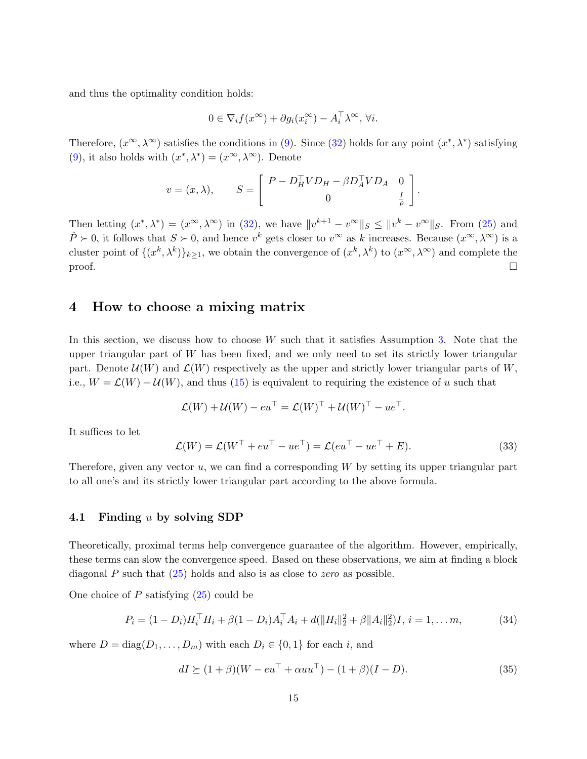and thus the optimality condition holds:

$$
0 \in \nabla_i f(x^{\infty}) + \partial g_i(x_i^{\infty}) - A_i^{\top} \lambda^{\infty}, \forall i.
$$

Therefore,  $(x^{\infty}, \lambda^{\infty})$  satisfies the conditions in [\(9\)](#page-7-2). Since [\(32\)](#page-13-3) holds for any point  $(x^*, \lambda^*)$  satisfying [\(9\)](#page-7-2), it also holds with  $(x^*, \lambda^*) = (x^{\infty}, \lambda^{\infty})$ . Denote

$$
v = (x, \lambda), \qquad S = \begin{bmatrix} P - D_H^\top V D_H - \beta D_A^\top V D_A & 0 \\ 0 & \frac{I}{\rho} \end{bmatrix}
$$

Then letting  $(x^*, \lambda^*) = (x^{\infty}, \lambda^{\infty})$  in [\(32\)](#page-13-3), we have  $||v^{k+1} - v^{\infty}||_S \le ||v^k - v^{\infty}||_S$ . From [\(25\)](#page-12-0) and  $\hat{P} \succ 0$ , it follows that  $S \succ 0$ , and hence  $v^k$  gets closer to  $v^{\infty}$  as k increases. Because  $(x^{\infty}, \lambda^{\infty})$  is a cluster point of  $\{(x^k, \lambda^k)\}_{k\geq 1}$ , we obtain the convergence of  $(x^k, \lambda^k)$  to  $(x^{\infty}, \lambda^{\infty})$  and complete the  $\Box$ 

## <span id="page-14-0"></span>4 How to choose a mixing matrix

In this section, we discuss how to choose  $W$  such that it satisfies Assumption [3.](#page-8-3) Note that the upper triangular part of  $W$  has been fixed, and we only need to set its strictly lower triangular part. Denote  $\mathcal{U}(W)$  and  $\mathcal{L}(W)$  respectively as the upper and strictly lower triangular parts of W, i.e.,  $W = \mathcal{L}(W) + \mathcal{U}(W)$ , and thus [\(15\)](#page-8-2) is equivalent to requiring the existence of u such that

$$
\mathcal{L}(W) + \mathcal{U}(W) - eu^{\top} = \mathcal{L}(W)^{\top} + \mathcal{U}(W)^{\top} - ue^{\top}.
$$

It suffices to let

<span id="page-14-1"></span>
$$
\mathcal{L}(W) = \mathcal{L}(W^{\top} + eu^{\top} - ue^{\top}) = \mathcal{L}(eu^{\top} - ue^{\top} + E). \tag{33}
$$

.

Therefore, given any vector  $u$ , we can find a corresponding  $W$  by setting its upper triangular part to all one's and its strictly lower triangular part according to the above formula.

#### <span id="page-14-4"></span>4.1 Finding u by solving SDP

Theoretically, proximal terms help convergence guarantee of the algorithm. However, empirically, these terms can slow the convergence speed. Based on these observations, we aim at finding a block diagonal P such that  $(25)$  holds and also is as close to *zero* as possible.

One choice of  $P$  satisfying  $(25)$  could be

<span id="page-14-2"></span>
$$
P_i = (1 - D_i)H_i^{\top}H_i + \beta(1 - D_i)A_i^{\top}A_i + d(||H_i||_2^2 + \beta||A_i||_2^2)I, \ i = 1, \dots m,
$$
\n(34)

where  $D = diag(D_1, ..., D_m)$  with each  $D_i \in \{0, 1\}$  for each i, and

<span id="page-14-3"></span>
$$
dI \succeq (1+\beta)(W - eu^{\top} + \alpha uu^{\top}) - (1+\beta)(I - D). \tag{35}
$$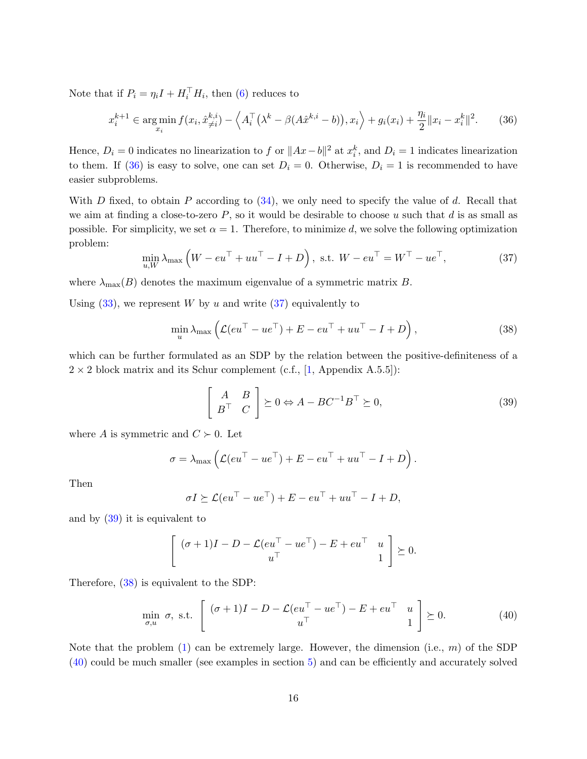<span id="page-15-5"></span>Note that if  $P_i = \eta_i I + H_i^{\top} H_i$ , then [\(6\)](#page-6-0) reduces to

<span id="page-15-1"></span>
$$
x_i^{k+1} \in \argmin_{x_i} f(x_i, \hat{x}_{\neq i}^{k,i}) - \left\langle A_i^{\top} \left(\lambda^k - \beta(A\hat{x}^{k,i} - b)\right), x_i \right\rangle + g_i(x_i) + \frac{\eta_i}{2} \|x_i - x_i^k\|^2. \tag{36}
$$

Hence,  $D_i = 0$  indicates no linearization to f or  $||Ax - b||^2$  at  $x_i^k$ , and  $D_i = 1$  indicates linearization to them. If [\(36\)](#page-15-1) is easy to solve, one can set  $D_i = 0$ . Otherwise,  $D_i = 1$  is recommended to have easier subproblems.

With D fixed, to obtain P according to  $(34)$ , we only need to specify the value of d. Recall that we aim at finding a close-to-zero  $P$ , so it would be desirable to choose u such that  $d$  is as small as possible. For simplicity, we set  $\alpha = 1$ . Therefore, to minimize d, we solve the following optimization problem:

<span id="page-15-2"></span>
$$
\min_{u,W} \lambda_{\max} \left( W - e u^\top + u u^\top - I + D \right), \text{ s.t. } W - e u^\top = W^\top - u e^\top, \tag{37}
$$

where  $\lambda_{\text{max}}(B)$  denotes the maximum eigenvalue of a symmetric matrix B.

Using  $(33)$ , we represent W by u and write  $(37)$  equivalently to

<span id="page-15-4"></span>
$$
\min_{u} \lambda_{\max} \left( \mathcal{L}(eu^{\top} - ue^{\top}) + E - eu^{\top} + uu^{\top} - I + D \right), \tag{38}
$$

which can be further formulated as an SDP by the relation between the positive-definiteness of a  $2 \times 2$  block matrix and its Schur complement (c.f., [\[1,](#page-24-1) Appendix A.5.5]):

<span id="page-15-3"></span>
$$
\begin{bmatrix} A & B \\ B^{\top} & C \end{bmatrix} \succeq 0 \Leftrightarrow A - BC^{-1}B^{\top} \succeq 0,
$$
\n(39)

where A is symmetric and  $C \succ 0$ . Let

$$
\sigma = \lambda_{\max} \left( \mathcal{L}(eu^{\top} - ue^{\top}) + E - eu^{\top} + uu^{\top} - I + D \right).
$$

Then

$$
\sigma I \succeq \mathcal{L}(eu^{\top} - ue^{\top}) + E - eu^{\top} + uu^{\top} - I + D,
$$

and by [\(39\)](#page-15-3) it is equivalent to

$$
\left[ \begin{array}{cc} (\sigma+1)I - D - \mathcal{L}(eu^{\top} - ue^{\top}) - E + eu^{\top} & u \\ u^{\top} & 1 \end{array} \right] \succeq 0.
$$

Therefore, [\(38\)](#page-15-4) is equivalent to the SDP:

<span id="page-15-0"></span>
$$
\min_{\sigma, u} \sigma, \text{ s.t. } \begin{bmatrix} (\sigma + 1)I - D - \mathcal{L}(eu^{\top} - ue^{\top}) - E + eu^{\top} & u \\ u^{\top} & 1 \end{bmatrix} \succeq 0.
$$
 (40)

Note that the problem  $(1)$  can be extremely large. However, the dimension (i.e., m) of the SDP [\(40\)](#page-15-0) could be much smaller (see examples in section [5\)](#page-17-0) and can be efficiently and accurately solved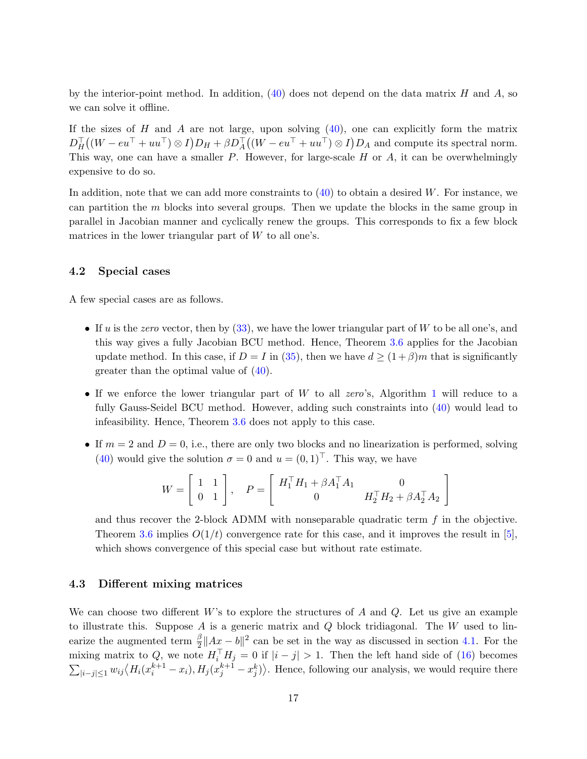<span id="page-16-0"></span>by the interior-point method. In addition,  $(40)$  does not depend on the data matrix H and A, so we can solve it offline.

If the sizes of H and A are not large, upon solving  $(40)$ , one can explicitly form the matrix  $D_H^{\top}((W - eu^{\top} + uu^{\top}) \otimes I)D_H + \beta D_A^{\top}((W - eu^{\top} + uu^{\top}) \otimes I)D_A$  and compute its spectral norm. This way, one can have a smaller  $P$ . However, for large-scale  $H$  or  $A$ , it can be overwhelmingly expensive to do so.

In addition, note that we can add more constraints to  $(40)$  to obtain a desired W. For instance, we can partition the  $m$  blocks into several groups. Then we update the blocks in the same group in parallel in Jacobian manner and cyclically renew the groups. This corresponds to fix a few block matrices in the lower triangular part of  $W$  to all one's.

#### 4.2 Special cases

A few special cases are as follows.

- If u is the zero vector, then by  $(33)$ , we have the lower triangular part of W to be all one's, and this way gives a fully Jacobian BCU method. Hence, Theorem [3.6](#page-11-3) applies for the Jacobian update method. In this case, if  $D = I$  in [\(35\)](#page-14-3), then we have  $d \ge (1 + \beta)m$  that is significantly greater than the optimal value of [\(40\)](#page-15-0).
- If we enforce the lower triangular part of  $W$  to all zero's, Algorithm [1](#page-6-2) will reduce to a fully Gauss-Seidel BCU method. However, adding such constraints into [\(40\)](#page-15-0) would lead to infeasibility. Hence, Theorem [3.6](#page-11-3) does not apply to this case.
- If  $m = 2$  and  $D = 0$ , i.e., there are only two blocks and no linearization is performed, solving [\(40\)](#page-15-0) would give the solution  $\sigma = 0$  and  $u = (0, 1)^{\top}$ . This way, we have

$$
W = \left[ \begin{array}{cc} 1 & 1 \\ 0 & 1 \end{array} \right], \quad P = \left[ \begin{array}{cc} H_1^\top H_1 + \beta A_1^\top A_1 & 0 \\ 0 & H_2^\top H_2 + \beta A_2^\top A_2 \end{array} \right]
$$

and thus recover the 2-block ADMM with nonseparable quadratic term  $f$  in the objective. Theorem [3.6](#page-11-3) implies  $O(1/t)$  convergence rate for this case, and it improves the result in [\[5\]](#page-25-3), which shows convergence of this special case but without rate estimate.

## 4.3 Different mixing matrices

We can choose two different  $W$ 's to explore the structures of  $A$  and  $Q$ . Let us give an example to illustrate this. Suppose A is a generic matrix and  $Q$  block tridiagonal. The W used to linearize the augmented term  $\frac{\beta}{2}||Ax - b||^2$  can be set in the way as discussed in section [4.1.](#page-14-4) For the mixing matrix to Q, we note  $H_i^\top H_j = 0$  if  $|i - j| > 1$ . Then the left hand side of [\(16\)](#page-9-0) becomes  $\sum_{|i-j|\leq 1} w_{ij} \langle H_i(x_i^{k+1}-x_i), H_j(x_j^{k+1}-x_j^k) \rangle$ . Hence, following our analysis, we would require there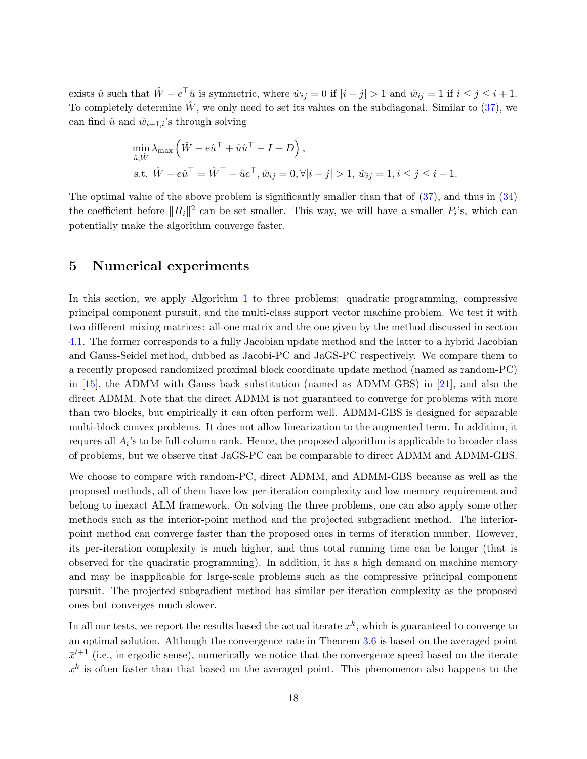<span id="page-17-1"></span>exists  $\hat{u}$  such that  $\hat{W} - e^{\top}\hat{u}$  is symmetric, where  $\hat{w}_{ij} = 0$  if  $|i - j| > 1$  and  $\hat{w}_{ij} = 1$  if  $i \leq j \leq i + 1$ . To completely determine  $\hat{W}$ , we only need to set its values on the subdiagonal. Similar to [\(37\)](#page-15-2), we can find  $\hat{u}$  and  $\hat{w}_{i+1,i}$ 's through solving

$$
\begin{aligned}\n\min_{\hat{u}, \hat{W}} \lambda_{\max} \left( \hat{W} - e\hat{u}^\top + \hat{u}\hat{u}^\top - I + D \right), \\
\text{s.t. } \hat{W} - e\hat{u}^\top &= \hat{W}^\top - \hat{u}e^\top, \hat{w}_{ij} = 0, \forall |i - j| > 1, \, \hat{w}_{ij} = 1, i \leq j \leq i + 1.\n\end{aligned}
$$

The optimal value of the above problem is significantly smaller than that of  $(37)$ , and thus in  $(34)$ the coefficient before  $||H_i||^2$  can be set smaller. This way, we will have a smaller  $P_i$ 's, which can potentially make the algorithm converge faster.

## <span id="page-17-0"></span>5 Numerical experiments

In this section, we apply Algorithm [1](#page-6-2) to three problems: quadratic programming, compressive principal component pursuit, and the multi-class support vector machine problem. We test it with two different mixing matrices: all-one matrix and the one given by the method discussed in section [4.1.](#page-14-4) The former corresponds to a fully Jacobian update method and the latter to a hybrid Jacobian and Gauss-Seidel method, dubbed as Jacobi-PC and JaGS-PC respectively. We compare them to a recently proposed randomized proximal block coordinate update method (named as random-PC) in [\[15\]](#page-26-2), the ADMM with Gauss back substitution (named as ADMM-GBS) in [\[21\]](#page-27-1), and also the direct ADMM. Note that the direct ADMM is not guaranteed to converge for problems with more than two blocks, but empirically it can often perform well. ADMM-GBS is designed for separable multi-block convex problems. It does not allow linearization to the augmented term. In addition, it requres all  $A_i$ 's to be full-column rank. Hence, the proposed algorithm is applicable to broader class of problems, but we observe that JaGS-PC can be comparable to direct ADMM and ADMM-GBS.

We choose to compare with random-PC, direct ADMM, and ADMM-GBS because as well as the proposed methods, all of them have low per-iteration complexity and low memory requirement and belong to inexact ALM framework. On solving the three problems, one can also apply some other methods such as the interior-point method and the projected subgradient method. The interiorpoint method can converge faster than the proposed ones in terms of iteration number. However, its per-iteration complexity is much higher, and thus total running time can be longer (that is observed for the quadratic programming). In addition, it has a high demand on machine memory and may be inapplicable for large-scale problems such as the compressive principal component pursuit. The projected subgradient method has similar per-iteration complexity as the proposed ones but converges much slower.

In all our tests, we report the results based the actual iterate  $x^k$ , which is guaranteed to converge to an optimal solution. Although the convergence rate in Theorem [3.6](#page-11-3) is based on the averaged point  $\bar{x}^{t+1}$  (i.e., in ergodic sense), numerically we notice that the convergence speed based on the iterate  $x<sup>k</sup>$  is often faster than that based on the averaged point. This phenomenon also happens to the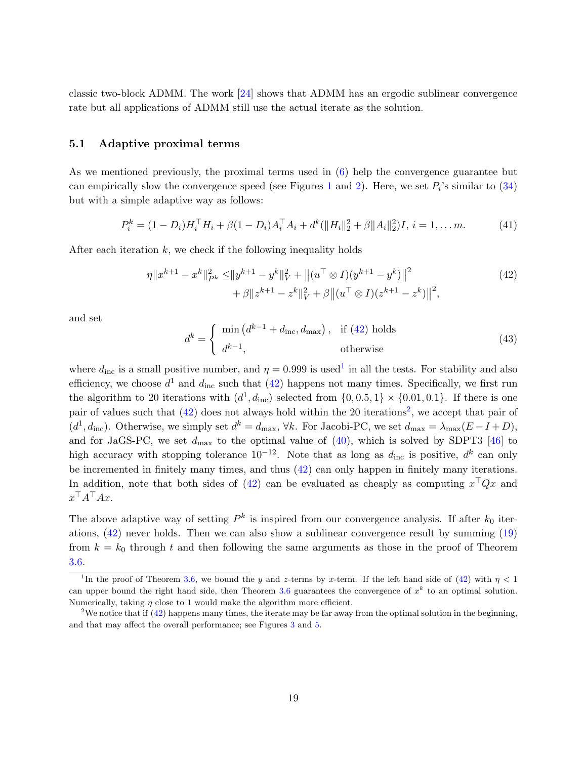<span id="page-18-5"></span>classic two-block ADMM. The work [\[24\]](#page-27-7) shows that ADMM has an ergodic sublinear convergence rate but all applications of ADMM still use the actual iterate as the solution.

#### <span id="page-18-3"></span>5.1 Adaptive proximal terms

As we mentioned previously, the proximal terms used in [\(6\)](#page-6-0) help the convergence guarantee but can empirically slow the convergence speed (see Figures [1](#page-20-1) and [2\)](#page-21-0). Here, we set  $P_i$ 's similar to  $(34)$ but with a simple adaptive way as follows:

<span id="page-18-4"></span>
$$
P_i^k = (1 - D_i)H_i^\top H_i + \beta(1 - D_i)A_i^\top A_i + d^k(\|H_i\|_2^2 + \beta \|A_i\|_2^2)I, \, i = 1, \dots m. \tag{41}
$$

After each iteration  $k$ , we check if the following inequality holds

$$
\eta \|x^{k+1} - x^k\|_{P^k}^2 \le \|y^{k+1} - y^k\|_V^2 + \left\|(u^\top \otimes I)(y^{k+1} - y^k)\right\|^2
$$
  
+  $\beta \|z^{k+1} - z^k\|_V^2 + \beta \left\|(u^\top \otimes I)(z^{k+1} - z^k)\right\|^2,$  (42)

and set

<span id="page-18-0"></span>
$$
d^{k} = \begin{cases} \min\left(d^{k-1} + d_{\text{inc}}, d_{\text{max}}\right), & \text{if (42) holds} \\ d^{k-1}, & \text{otherwise} \end{cases}
$$
(43)

where  $d_{\text{inc}}$  is a small positive number, and  $\eta = 0.999$  is used<sup>[1](#page-18-1)</sup> in all the tests. For stability and also efficiency, we choose  $d^1$  and  $d_{\text{inc}}$  such that [\(42\)](#page-18-0) happens not many times. Specifically, we first run the algorithm to 20 iterations with  $(d^1, d_{\text{inc}})$  selected from  $\{0, 0.5, 1\} \times \{0.01, 0.1\}$ . If there is one pair of values such that  $(42)$  does not always hold within the [2](#page-18-2)0 iterations<sup>2</sup>, we accept that pair of  $(d^1, d_{\text{inc}})$ . Otherwise, we simply set  $d^k = d_{\text{max}}$ ,  $\forall k$ . For Jacobi-PC, we set  $d_{\text{max}} = \lambda_{\text{max}}(E - I + D)$ , and for JaGS-PC, we set  $d_{\text{max}}$  to the optimal value of  $(40)$ , which is solved by SDPT3 [\[46\]](#page-28-12) to high accuracy with stopping tolerance  $10^{-12}$ . Note that as long as  $d_{\text{inc}}$  is positive,  $d^k$  can only be incremented in finitely many times, and thus [\(42\)](#page-18-0) can only happen in finitely many iterations. In addition, note that both sides of [\(42\)](#page-18-0) can be evaluated as cheaply as computing  $x^{\top}Qx$  and  $x^{\top}A^{\top}Ax$ .

The above adaptive way of setting  $P^k$  is inspired from our convergence analysis. If after  $k_0$  iterations, [\(42\)](#page-18-0) never holds. Then we can also show a sublinear convergence result by summing [\(19\)](#page-10-2) from  $k = k_0$  through t and then following the same arguments as those in the proof of Theorem [3.6.](#page-11-3)

<span id="page-18-1"></span><sup>&</sup>lt;sup>1</sup>In the proof of Theorem [3.6,](#page-11-3) we bound the y and z-terms by x-term. If the left hand side of [\(42\)](#page-18-0) with  $\eta$  < 1 can upper bound the right hand side, then Theorem [3.6](#page-11-3) guarantees the convergence of  $x^k$  to an optimal solution. Numerically, taking  $\eta$  close to 1 would make the algorithm more efficient.

<span id="page-18-2"></span><sup>&</sup>lt;sup>2</sup>We notice that if  $(42)$  happens many times, the iterate may be far away from the optimal solution in the beginning, and that may affect the overall performance; see Figures [3](#page-22-1) and [5.](#page-24-2)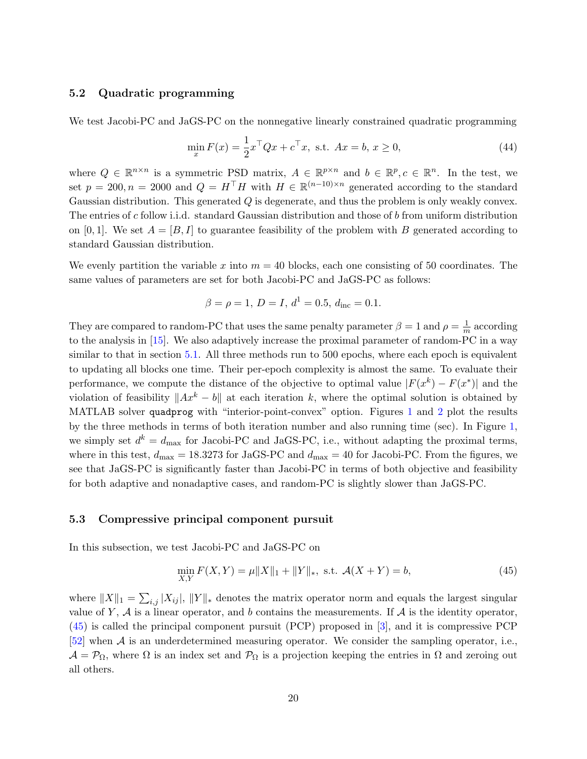#### <span id="page-19-2"></span>5.2 Quadratic programming

We test Jacobi-PC and JaGS-PC on the nonnegative linearly constrained quadratic programming

<span id="page-19-1"></span>
$$
\min_{x} F(x) = \frac{1}{2} x^{\top} Q x + c^{\top} x, \text{ s.t. } Ax = b, x \ge 0,
$$
\n(44)

where  $Q \in \mathbb{R}^{n \times n}$  is a symmetric PSD matrix,  $A \in \mathbb{R}^{p \times n}$  and  $b \in \mathbb{R}^p, c \in \mathbb{R}^n$ . In the test, we set  $p = 200, n = 2000$  and  $Q = H<sup>T</sup>H$  with  $H \in \mathbb{R}^{(n-10)\times n}$  generated according to the standard Gaussian distribution. This generated Q is degenerate, and thus the problem is only weakly convex. The entries of c follow i.i.d. standard Gaussian distribution and those of b from uniform distribution on [0, 1]. We set  $A = [B, I]$  to guarantee feasibility of the problem with B generated according to standard Gaussian distribution.

We evenly partition the variable x into  $m = 40$  blocks, each one consisting of 50 coordinates. The same values of parameters are set for both Jacobi-PC and JaGS-PC as follows:

$$
\beta = \rho = 1, D = I, d^1 = 0.5, d_{\text{inc}} = 0.1.
$$

They are compared to random-PC that uses the same penalty parameter  $\beta = 1$  and  $\rho = \frac{1}{m}$  $\frac{1}{m}$  according to the analysis in [\[15\]](#page-26-2). We also adaptively increase the proximal parameter of random-PC in a way similar to that in section [5.1.](#page-18-3) All three methods run to 500 epochs, where each epoch is equivalent to updating all blocks one time. Their per-epoch complexity is almost the same. To evaluate their performance, we compute the distance of the objective to optimal value  $|F(x^k) - F(x^*)|$  and the violation of feasibility  $||Ax^k - b||$  at each iteration k, where the optimal solution is obtained by MATLAB solver quadprog with "interior-point-convex" option. Figures [1](#page-20-1) and [2](#page-21-0) plot the results by the three methods in terms of both iteration number and also running time (sec). In Figure [1,](#page-20-1) we simply set  $d^k = d_{\text{max}}$  for Jacobi-PC and JaGS-PC, i.e., without adapting the proximal terms, where in this test,  $d_{\text{max}} = 18.3273$  for JaGS-PC and  $d_{\text{max}} = 40$  for Jacobi-PC. From the figures, we see that JaGS-PC is significantly faster than Jacobi-PC in terms of both objective and feasibility for both adaptive and nonadaptive cases, and random-PC is slightly slower than JaGS-PC.

#### 5.3 Compressive principal component pursuit

In this subsection, we test Jacobi-PC and JaGS-PC on

<span id="page-19-0"></span>
$$
\min_{X,Y} F(X,Y) = \mu \|X\|_1 + \|Y\|_*, \text{ s.t. } \mathcal{A}(X+Y) = b,
$$
\n(45)

where  $||X||_1 = \sum_{i,j} |X_{ij}|$ ,  $||Y||_*$  denotes the matrix operator norm and equals the largest singular value of Y,  $A$  is a linear operator, and b contains the measurements. If  $A$  is the identity operator, [\(45\)](#page-19-0) is called the principal component pursuit (PCP) proposed in [\[3\]](#page-25-4), and it is compressive PCP [\[52\]](#page-29-0) when A is an underdetermined measuring operator. We consider the sampling operator, i.e.,  $\mathcal{A} = \mathcal{P}_{\Omega}$ , where  $\Omega$  is an index set and  $\mathcal{P}_{\Omega}$  is a projection keeping the entries in  $\Omega$  and zeroing out all others.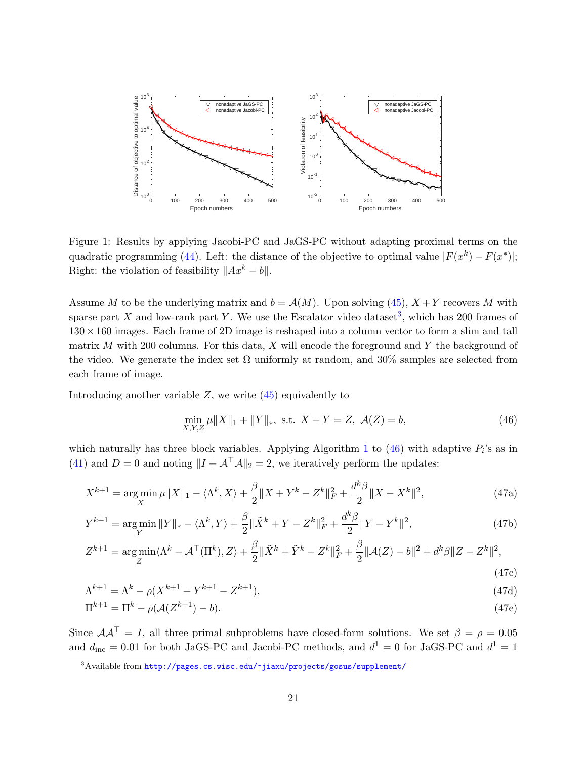

<span id="page-20-1"></span>Figure 1: Results by applying Jacobi-PC and JaGS-PC without adapting proximal terms on the quadratic programming [\(44\)](#page-19-1). Left: the distance of the objective to optimal value  $|F(x^k) - F(x^*)|$ ; Right: the violation of feasibility  $||Ax^{k} - b||$ .

Assume M to be the underlying matrix and  $b = \mathcal{A}(M)$ . Upon solving [\(45\)](#page-19-0),  $X + Y$  recovers M with sparse part X and low-rank part Y. We use the Escalator video dataset<sup>[3](#page-20-2)</sup>, which has 200 frames of  $130 \times 160$  images. Each frame of 2D image is reshaped into a column vector to form a slim and tall matrix  $M$  with 200 columns. For this data,  $X$  will encode the foreground and  $Y$  the background of the video. We generate the index set  $\Omega$  uniformly at random, and 30% samples are selected from each frame of image.

Introducing another variable  $Z$ , we write  $(45)$  equivalently to

<span id="page-20-7"></span><span id="page-20-6"></span><span id="page-20-5"></span><span id="page-20-4"></span><span id="page-20-3"></span><span id="page-20-0"></span>
$$
\min_{X,Y,Z} \mu \|X\|_1 + \|Y\|_*, \text{ s.t. } X + Y = Z, \ \mathcal{A}(Z) = b,
$$
\n(46)

which naturally has three block variables. Applying Algorithm [1](#page-6-2) to  $(46)$  with adaptive  $P_i$ 's as in [\(41\)](#page-18-4) and  $D = 0$  and noting  $||I + A^{\top}A||_2 = 2$ , we iteratively perform the updates:

$$
X^{k+1} = \underset{X}{\text{arg min}} \,\mu \|X\|_1 - \langle \Lambda^k, X \rangle + \frac{\beta}{2} \|X + Y^k - Z^k\|_F^2 + \frac{d^k \beta}{2} \|X - X^k\|^2,\tag{47a}
$$

$$
Y^{k+1} = \underset{Y}{\text{arg min}} \, \|Y\|_{*} - \langle \Lambda^{k}, Y \rangle + \frac{\beta}{2} \|\tilde{X}^{k} + Y - Z^{k}\|_{F}^{2} + \frac{d^{k}\beta}{2} \|Y - Y^{k}\|^{2},\tag{47b}
$$

$$
Z^{k+1} = \underset{Z}{\arg\min} \langle \Lambda^k - \mathcal{A}^\top (\Pi^k), Z \rangle + \frac{\beta}{2} \|\tilde{X}^k + \tilde{Y}^k - Z^k\|_F^2 + \frac{\beta}{2} \|\mathcal{A}(Z) - b\|^2 + d^k \beta \|Z - Z^k\|^2,
$$
\n(47c)

$$
\Lambda^{k+1} = \Lambda^k - \rho(X^{k+1} + Y^{k+1} - Z^{k+1}),\tag{47d}
$$

$$
\Pi^{k+1} = \Pi^k - \rho(\mathcal{A}(Z^{k+1}) - b). \tag{47e}
$$

Since  $AA^{\dagger} = I$ , all three primal subproblems have closed-form solutions. We set  $\beta = \rho = 0.05$ and  $d_{\text{inc}} = 0.01$  for both JaGS-PC and Jacobi-PC methods, and  $d^1 = 0$  for JaGS-PC and  $d^1 = 1$ 

<span id="page-20-2"></span><sup>3</sup>Available from <http://pages.cs.wisc.edu/~jiaxu/projects/gosus/supplement/>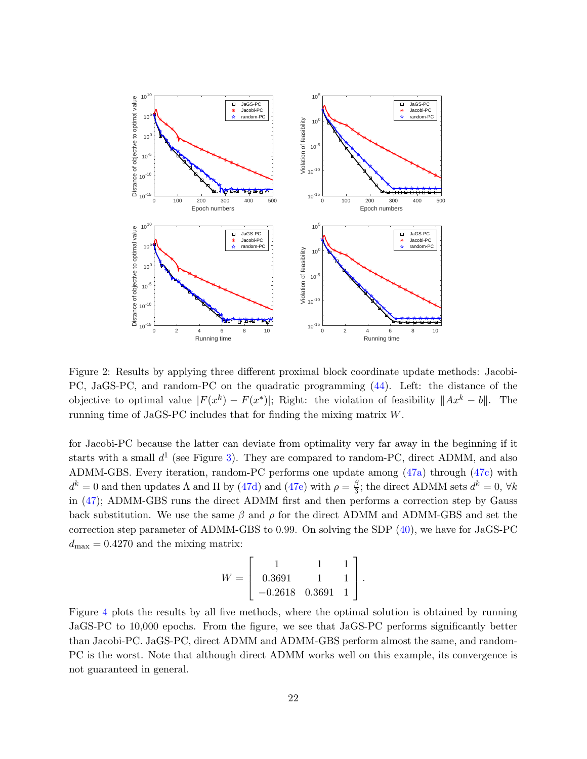

<span id="page-21-0"></span>Figure 2: Results by applying three different proximal block coordinate update methods: Jacobi-PC, JaGS-PC, and random-PC on the quadratic programming [\(44\)](#page-19-1). Left: the distance of the objective to optimal value  $|F(x^k) - F(x^*)|$ ; Right: the violation of feasibility  $||Ax^k - b||$ . The running time of JaGS-PC includes that for finding the mixing matrix W.

for Jacobi-PC because the latter can deviate from optimality very far away in the beginning if it starts with a small  $d^1$  (see Figure [3\)](#page-22-1). They are compared to random-PC, direct ADMM, and also ADMM-GBS. Every iteration, random-PC performs one update among [\(47a\)](#page-20-3) through [\(47c\)](#page-20-4) with  $d^k = 0$  and then updates  $\Lambda$  and  $\Pi$  by [\(47d\)](#page-20-5) and [\(47e\)](#page-20-6) with  $\rho = \frac{\beta}{3}$  $\frac{\beta}{3}$ ; the direct ADMM sets  $d^k = 0$ ,  $\forall k$ in [\(47\)](#page-20-7); ADMM-GBS runs the direct ADMM first and then performs a correction step by Gauss back substitution. We use the same  $\beta$  and  $\rho$  for the direct ADMM and ADMM-GBS and set the correction step parameter of ADMM-GBS to 0.99. On solving the SDP [\(40\)](#page-15-0), we have for JaGS-PC  $d_{\text{max}} = 0.4270$  and the mixing matrix:

$$
W = \left[ \begin{array}{ccc} 1 & 1 & 1 \\ 0.3691 & 1 & 1 \\ -0.2618 & 0.3691 & 1 \end{array} \right].
$$

Figure [4](#page-23-0) plots the results by all five methods, where the optimal solution is obtained by running JaGS-PC to 10,000 epochs. From the figure, we see that JaGS-PC performs significantly better than Jacobi-PC. JaGS-PC, direct ADMM and ADMM-GBS perform almost the same, and random-PC is the worst. Note that although direct ADMM works well on this example, its convergence is not guaranteed in general.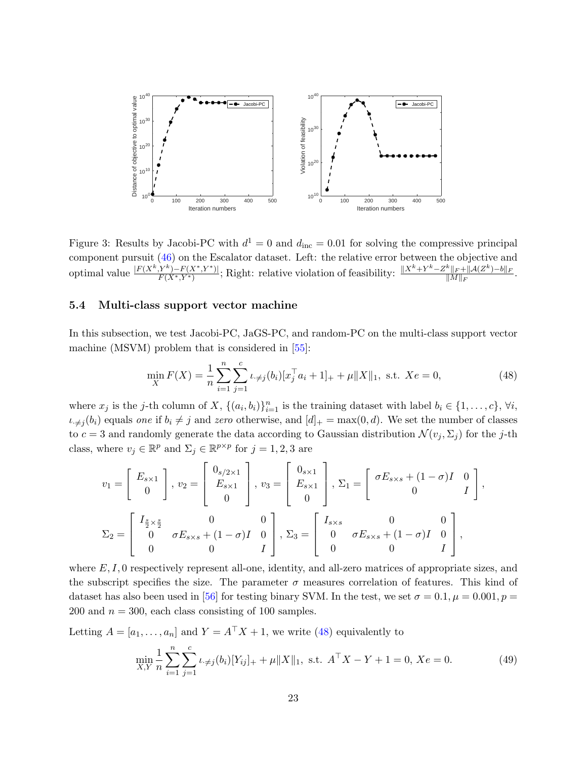<span id="page-22-2"></span>

<span id="page-22-1"></span>Figure 3: Results by Jacobi-PC with  $d^1 = 0$  and  $d_{\text{inc}} = 0.01$  for solving the compressive principal component pursuit [\(46\)](#page-20-0) on the Escalator dataset. Left: the relative error between the objective and optimal value  $\frac{|F(X^k,Y^k)-F(X^*,Y^*)|}{F(X^*,Y^*)}$ ; Right: relative violation of feasibility:  $\frac{||X^k+Y^k-Z^k||_F+\|A(Z^k)-b\|_F}{\|M\|_F}$  $\|M\|_F$ .

## 5.4 Multi-class support vector machine

In this subsection, we test Jacobi-PC, JaGS-PC, and random-PC on the multi-class support vector machine (MSVM) problem that is considered in [\[55\]](#page-29-1):

<span id="page-22-0"></span>
$$
\min_{X} F(X) = \frac{1}{n} \sum_{i=1}^{n} \sum_{j=1}^{c} \iota_{\neq j}(b_i) [x_j^\top a_i + 1]_+ + \mu \|X\|_1, \text{ s.t. } Xe = 0,
$$
\n(48)

where  $x_j$  is the j-th column of X,  $\{(a_i, b_i)\}_{i=1}^n$  is the training dataset with label  $b_i \in \{1, \ldots, c\}$ ,  $\forall i$ ,  $\iota_{\neq j}(b_i)$  equals one if  $b_i \neq j$  and zero otherwise, and  $[d]_+ = \max(0, d)$ . We set the number of classes to  $c = 3$  and randomly generate the data according to Gaussian distribution  $\mathcal{N}(v_j, \Sigma_j)$  for the j-th class, where  $v_j \in \mathbb{R}^p$  and  $\Sigma_j \in \mathbb{R}^{p \times p}$  for  $j = 1, 2, 3$  are

$$
v_1 = \begin{bmatrix} E_{s \times 1} \\ 0 \end{bmatrix}, v_2 = \begin{bmatrix} 0_{s/2 \times 1} \\ E_{s \times 1} \\ 0 \end{bmatrix}, v_3 = \begin{bmatrix} 0_{s \times 1} \\ E_{s \times 1} \\ 0 \end{bmatrix}, \Sigma_1 = \begin{bmatrix} \sigma E_{s \times s} + (1 - \sigma)I & 0 \\ 0 & I \end{bmatrix},
$$
  

$$
\Sigma_2 = \begin{bmatrix} I_{\frac{s}{2} \times \frac{s}{2}} & 0 & 0 \\ 0 & \sigma E_{s \times s} + (1 - \sigma)I & 0 \\ 0 & 0 & I \end{bmatrix}, \Sigma_3 = \begin{bmatrix} I_{s \times s} & 0 & 0 \\ 0 & \sigma E_{s \times s} + (1 - \sigma)I & 0 \\ 0 & 0 & I \end{bmatrix},
$$

where  $E, I, 0$  respectively represent all-one, identity, and all-zero matrices of appropriate sizes, and the subscript specifies the size. The parameter  $\sigma$  measures correlation of features. This kind of dataset has also been used in [\[56\]](#page-29-9) for testing binary SVM. In the test, we set  $\sigma = 0.1, \mu = 0.001, p =$ 200 and  $n = 300$ , each class consisting of 100 samples.

Letting  $A = [a_1, \ldots, a_n]$  and  $Y = A^{\top} X + 1$ , we write [\(48\)](#page-22-0) equivalently to

$$
\min_{X,Y} \frac{1}{n} \sum_{i=1}^{n} \sum_{j=1}^{c} \iota_{\neq j}(b_i) [Y_{ij}]_+ + \mu \|X\|_1, \text{ s.t. } A^\top X - Y + 1 = 0, Xe = 0.
$$
 (49)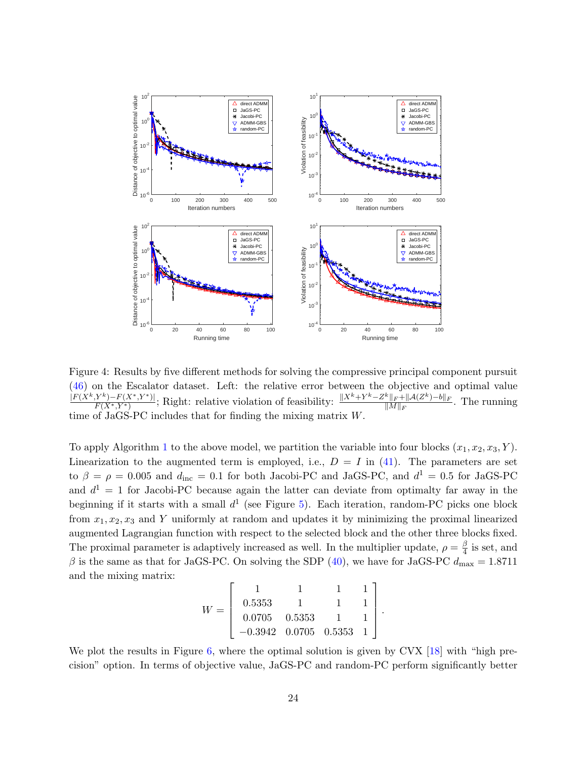<span id="page-23-1"></span>

<span id="page-23-0"></span>Figure 4: Results by five different methods for solving the compressive principal component pursuit [\(46\)](#page-20-0) on the Escalator dataset. Left: the relative error between the objective and optimal value  $\frac{|F(X^k, Y^k) - F(X^*, Y^*)|}{F(X^*|Y^*)}$ ; Right: relative violation of feasibility:  $\frac{||X^k + Y^k - Z^k||_F + ||\mathcal{A}(Z^k) - b||_F}{||\mathcal{M}||_F}$  $F(X^*,Y^*)$  $\frac{\|F+\|\mathcal{A}(Z^{\alpha})-0\|_F}{\|M\|_F}$ . The running time of  $JaGS-PC$  includes that for finding the mixing matrix  $W$ .

To apply Algorithm [1](#page-6-2) to the above model, we partition the variable into four blocks  $(x_1, x_2, x_3, Y)$ . Linearization to the augmented term is employed, i.e.,  $D = I$  in [\(41\)](#page-18-4). The parameters are set to  $\beta = \rho = 0.005$  and  $d_{\text{inc}} = 0.1$  for both Jacobi-PC and JaGS-PC, and  $d^1 = 0.5$  for JaGS-PC and  $d^1 = 1$  for Jacobi-PC because again the latter can deviate from optimalty far away in the beginning if it starts with a small  $d^1$  (see Figure [5\)](#page-24-2). Each iteration, random-PC picks one block from  $x_1, x_2, x_3$  and Y uniformly at random and updates it by minimizing the proximal linearized augmented Lagrangian function with respect to the selected block and the other three blocks fixed. The proximal parameter is adaptively increased as well. In the multiplier update,  $\rho = \frac{\beta}{4}$  $\frac{\beta}{4}$  is set, and β is the same as that for JaGS-PC. On solving the SDP [\(40\)](#page-15-0), we have for JaGS-PC  $d_{\text{max}} = 1.8711$ and the mixing matrix:

$$
W = \left[ \begin{array}{rrrrr} 1 & 1 & 1 & 1 \\ 0.5353 & 1 & 1 & 1 \\ 0.0705 & 0.5353 & 1 & 1 \\ -0.3942 & 0.0705 & 0.5353 & 1 \end{array} \right].
$$

We plot the results in Figure [6,](#page-25-5) where the optimal solution is given by CVX [\[18\]](#page-26-13) with "high precision" option. In terms of objective value, JaGS-PC and random-PC perform significantly better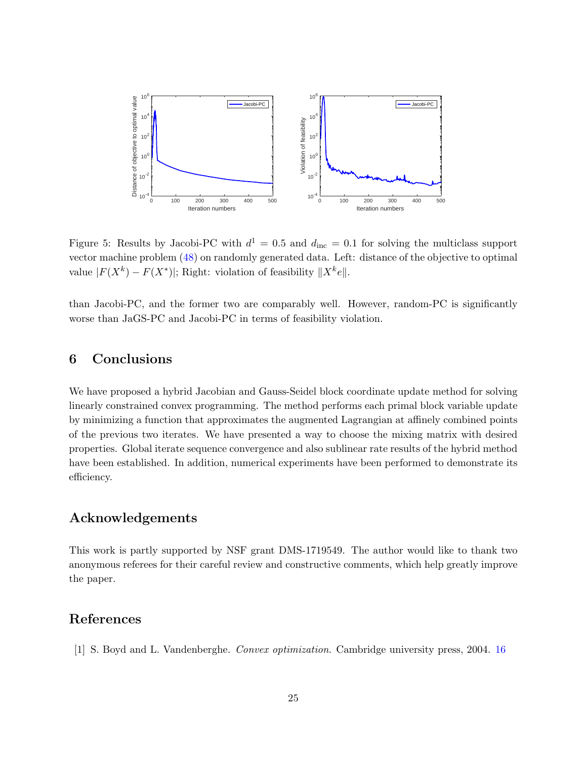

<span id="page-24-2"></span>Figure 5: Results by Jacobi-PC with  $d^1 = 0.5$  and  $d_{\text{inc}} = 0.1$  for solving the multiclass support vector machine problem [\(48\)](#page-22-0) on randomly generated data. Left: distance of the objective to optimal value  $|F(X^k) - F(X^*)|$ ; Right: violation of feasibility  $||X^k e||$ .

than Jacobi-PC, and the former two are comparably well. However, random-PC is significantly worse than JaGS-PC and Jacobi-PC in terms of feasibility violation.

# <span id="page-24-0"></span>6 Conclusions

We have proposed a hybrid Jacobian and Gauss-Seidel block coordinate update method for solving linearly constrained convex programming. The method performs each primal block variable update by minimizing a function that approximates the augmented Lagrangian at affinely combined points of the previous two iterates. We have presented a way to choose the mixing matrix with desired properties. Global iterate sequence convergence and also sublinear rate results of the hybrid method have been established. In addition, numerical experiments have been performed to demonstrate its efficiency.

# Acknowledgements

This work is partly supported by NSF grant DMS-1719549. The author would like to thank two anonymous referees for their careful review and constructive comments, which help greatly improve the paper.

# References

<span id="page-24-1"></span>[1] S. Boyd and L. Vandenberghe. Convex optimization. Cambridge university press, 2004. [16](#page-15-5)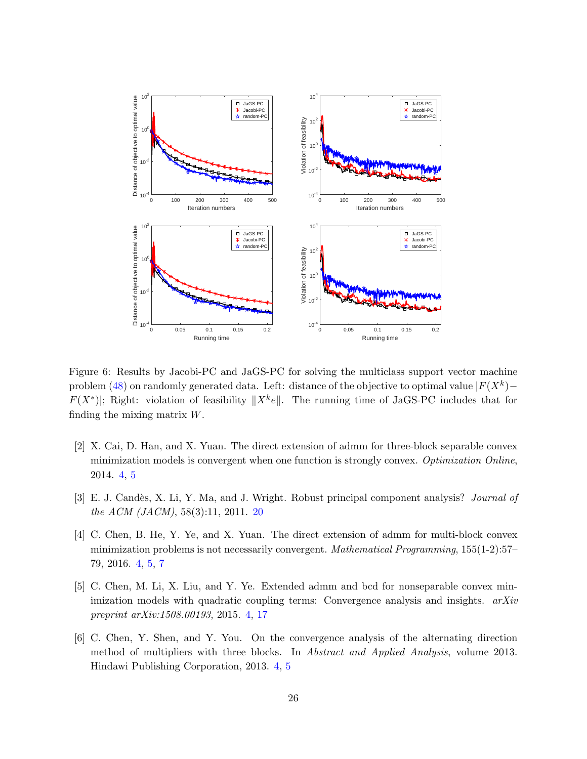

<span id="page-25-5"></span>Figure 6: Results by Jacobi-PC and JaGS-PC for solving the multiclass support vector machine problem [\(48\)](#page-22-0) on randomly generated data. Left: distance of the objective to optimal value  $|F(X^k) F(X^*)$ ; Right: violation of feasibility  $||X^k e||$ . The running time of JaGS-PC includes that for finding the mixing matrix W.

- <span id="page-25-1"></span>[2] X. Cai, D. Han, and X. Yuan. The direct extension of admm for three-block separable convex minimization models is convergent when one function is strongly convex. Optimization Online, 2014. [4,](#page-3-0) [5](#page-4-0)
- <span id="page-25-4"></span>[3] E. J. Candès, X. Li, Y. Ma, and J. Wright. Robust principal component analysis? Journal of the ACM (JACM), 58(3):11, 2011. [20](#page-19-2)
- <span id="page-25-0"></span>[4] C. Chen, B. He, Y. Ye, and X. Yuan. The direct extension of admm for multi-block convex minimization problems is not necessarily convergent. *Mathematical Programming*,  $155(1-2):57-$ 79, 2016. [4,](#page-3-0) [5,](#page-4-0) [7](#page-6-3)
- <span id="page-25-3"></span>[5] C. Chen, M. Li, X. Liu, and Y. Ye. Extended admm and bcd for nonseparable convex minimization models with quadratic coupling terms: Convergence analysis and insights.  $arXiv$ preprint arXiv:1508.00193, 2015. [4,](#page-3-0) [17](#page-16-0)
- <span id="page-25-2"></span>[6] C. Chen, Y. Shen, and Y. You. On the convergence analysis of the alternating direction method of multipliers with three blocks. In Abstract and Applied Analysis, volume 2013. Hindawi Publishing Corporation, 2013. [4,](#page-3-0) [5](#page-4-0)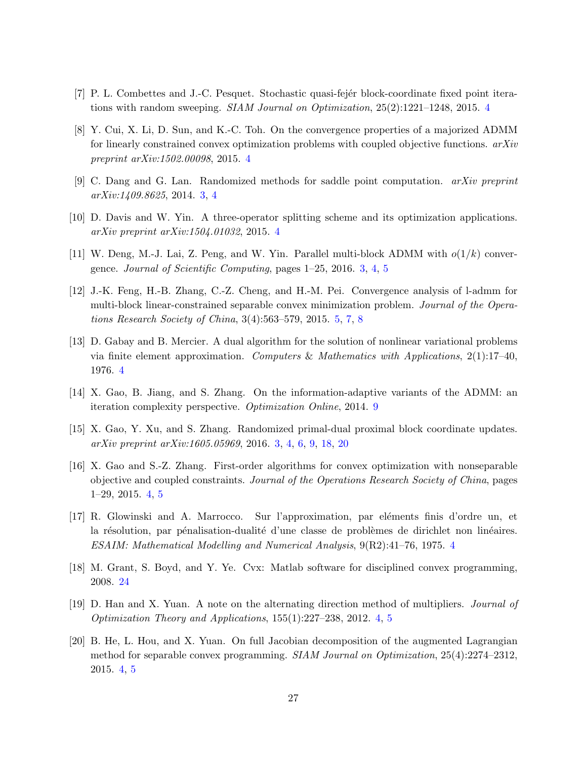- <span id="page-26-3"></span>[7] P. L. Combettes and J.-C. Pesquet. Stochastic quasi-fejer block-coordinate fixed point iterations with random sweeping. SIAM Journal on Optimization, 25(2):1221–1248, 2015. [4](#page-3-0)
- <span id="page-26-9"></span>[8] Y. Cui, X. Li, D. Sun, and K.-C. Toh. On the convergence properties of a majorized ADMM for linearly constrained convex optimization problems with coupled objective functions.  $arXiv$ preprint arXiv:1502.00098, 2015. [4](#page-3-0)
- <span id="page-26-1"></span>[9] C. Dang and G. Lan. Randomized methods for saddle point computation. arXiv preprint arXiv:1409.8625, 2014. [3,](#page-2-2) [4](#page-3-0)
- <span id="page-26-6"></span>[10] D. Davis and W. Yin. A three-operator splitting scheme and its optimization applications. arXiv preprint arXiv:1504.01032, 2015. [4](#page-3-0)
- <span id="page-26-0"></span>[11] W. Deng, M.-J. Lai, Z. Peng, and W. Yin. Parallel multi-block ADMM with  $o(1/k)$  convergence. Journal of Scientific Computing, pages 1–25, 2016. [3,](#page-2-2) [4,](#page-3-0) [5](#page-4-0)
- <span id="page-26-11"></span>[12] J.-K. Feng, H.-B. Zhang, C.-Z. Cheng, and H.-M. Pei. Convergence analysis of l-admm for multi-block linear-constrained separable convex minimization problem. Journal of the Operations Research Society of China, 3(4):563–579, 2015. [5,](#page-4-0) [7,](#page-6-3) [8](#page-7-4)
- <span id="page-26-4"></span>[13] D. Gabay and B. Mercier. A dual algorithm for the solution of nonlinear variational problems via finite element approximation. Computers & Mathematics with Applications,  $2(1)$ :17-40, 1976. [4](#page-3-0)
- <span id="page-26-12"></span>[14] X. Gao, B. Jiang, and S. Zhang. On the information-adaptive variants of the ADMM: an iteration complexity perspective. Optimization Online, 2014. [9](#page-8-9)
- <span id="page-26-2"></span>[15] X. Gao, Y. Xu, and S. Zhang. Randomized primal-dual proximal block coordinate updates. arXiv preprint arXiv:1605.05969, 2016. [3,](#page-2-2) [4,](#page-3-0) [6,](#page-5-1) [9,](#page-8-9) [18,](#page-17-1) [20](#page-19-2)
- <span id="page-26-10"></span>[16] X. Gao and S.-Z. Zhang. First-order algorithms for convex optimization with nonseparable objective and coupled constraints. Journal of the Operations Research Society of China, pages 1–29, 2015. [4,](#page-3-0) [5](#page-4-0)
- <span id="page-26-5"></span>[17] R. Glowinski and A. Marrocco. Sur l'approximation, par eléments finis d'ordre un, et la résolution, par pénalisation-dualité d'une classe de problèmes de dirichlet non linéaires. ESAIM: Mathematical Modelling and Numerical Analysis, 9(R2):41–76, 1975. [4](#page-3-0)
- <span id="page-26-13"></span>[18] M. Grant, S. Boyd, and Y. Ye. Cvx: Matlab software for disciplined convex programming, 2008. [24](#page-23-1)
- <span id="page-26-7"></span>[19] D. Han and X. Yuan. A note on the alternating direction method of multipliers. Journal of Optimization Theory and Applications, 155(1):227–238, 2012. [4,](#page-3-0) [5](#page-4-0)
- <span id="page-26-8"></span>[20] B. He, L. Hou, and X. Yuan. On full Jacobian decomposition of the augmented Lagrangian method for separable convex programming. SIAM Journal on Optimization, 25(4):2274–2312, 2015. [4,](#page-3-0) [5](#page-4-0)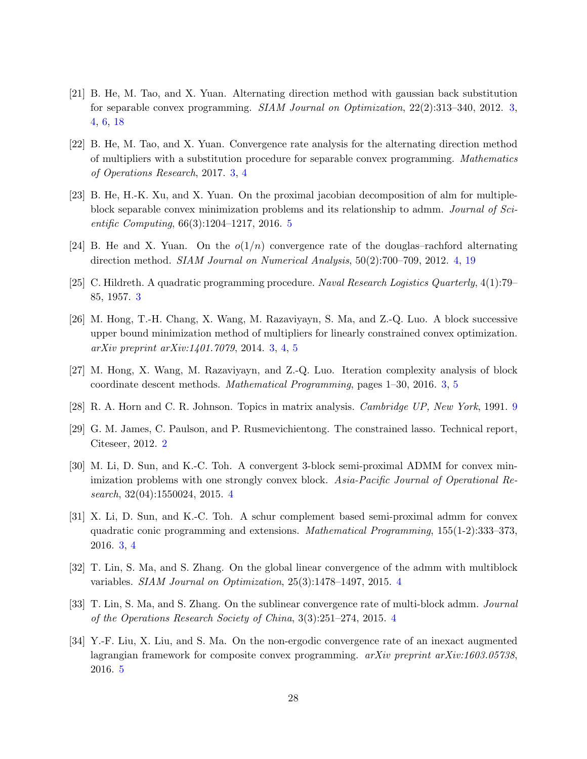- <span id="page-27-1"></span>[21] B. He, M. Tao, and X. Yuan. Alternating direction method with gaussian back substitution for separable convex programming. SIAM Journal on Optimization, 22(2):313–340, 2012. [3,](#page-2-2) [4,](#page-3-0) [6,](#page-5-1) [18](#page-17-1)
- <span id="page-27-5"></span>[22] B. He, M. Tao, and X. Yuan. Convergence rate analysis for the alternating direction method of multipliers with a substitution procedure for separable convex programming. Mathematics of Operations Research, 2017. [3,](#page-2-2) [4](#page-3-0)
- <span id="page-27-11"></span>[23] B. He, H.-K. Xu, and X. Yuan. On the proximal jacobian decomposition of alm for multipleblock separable convex minimization problems and its relationship to admm. Journal of Scientific Computing, 66(3):1204–1217, 2016. [5](#page-4-0)
- <span id="page-27-7"></span>[24] B. He and X. Yuan. On the  $o(1/n)$  convergence rate of the douglas-rachford alternating direction method. SIAM Journal on Numerical Analysis, 50(2):700–709, 2012. [4,](#page-3-0) [19](#page-18-5)
- <span id="page-27-6"></span>[25] C. Hildreth. A quadratic programming procedure. Naval Research Logistics Quarterly, 4(1):79– 85, 1957. [3](#page-2-2)
- <span id="page-27-2"></span>[26] M. Hong, T.-H. Chang, X. Wang, M. Razaviyayn, S. Ma, and Z.-Q. Luo. A block successive upper bound minimization method of multipliers for linearly constrained convex optimization. arXiv preprint arXiv:1401.7079, 2014. [3,](#page-2-2) [4,](#page-3-0) [5](#page-4-0)
- <span id="page-27-4"></span>[27] M. Hong, X. Wang, M. Razaviyayn, and Z.-Q. Luo. Iteration complexity analysis of block coordinate descent methods. Mathematical Programming, pages 1–30, 2016. [3,](#page-2-2) [5](#page-4-0)
- <span id="page-27-13"></span>[28] R. A. Horn and C. R. Johnson. Topics in matrix analysis. Cambridge UP, New York, 1991. [9](#page-8-9)
- <span id="page-27-0"></span>[29] G. M. James, C. Paulson, and P. Rusmevichientong. The constrained lasso. Technical report, Citeseer, 2012. [2](#page-1-3)
- <span id="page-27-9"></span>[30] M. Li, D. Sun, and K.-C. Toh. A convergent 3-block semi-proximal ADMM for convex minimization problems with one strongly convex block. Asia-Pacific Journal of Operational Research, 32(04):1550024, 2015. [4](#page-3-0)
- <span id="page-27-3"></span>[31] X. Li, D. Sun, and K.-C. Toh. A schur complement based semi-proximal admm for convex quadratic conic programming and extensions. Mathematical Programming, 155(1-2):333–373, 2016. [3,](#page-2-2) [4](#page-3-0)
- <span id="page-27-10"></span>[32] T. Lin, S. Ma, and S. Zhang. On the global linear convergence of the admm with multiblock variables. SIAM Journal on Optimization, 25(3):1478–1497, 2015. [4](#page-3-0)
- <span id="page-27-8"></span>[33] T. Lin, S. Ma, and S. Zhang. On the sublinear convergence rate of multi-block admm. Journal of the Operations Research Society of China, 3(3):251–274, 2015. [4](#page-3-0)
- <span id="page-27-12"></span>[34] Y.-F. Liu, X. Liu, and S. Ma. On the non-ergodic convergence rate of an inexact augmented lagrangian framework for composite convex programming. *arXiv preprint arXiv:1603.05738*, 2016. [5](#page-4-0)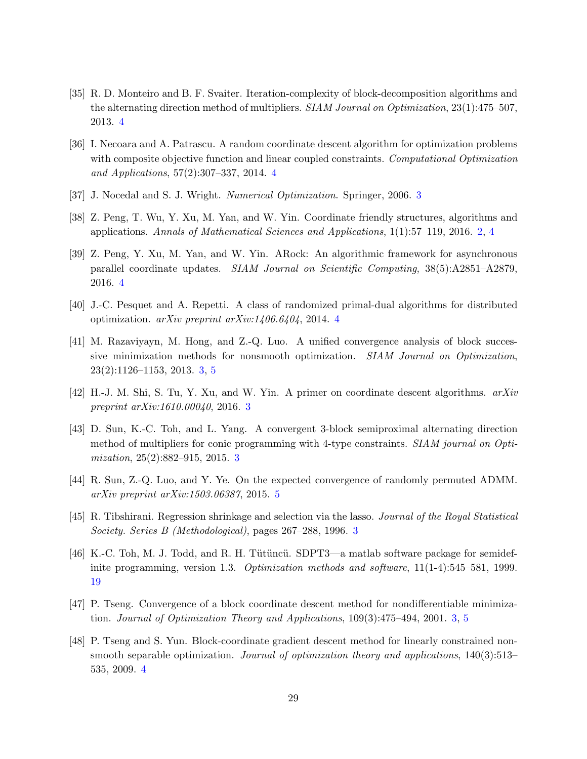- <span id="page-28-10"></span>[35] R. D. Monteiro and B. F. Svaiter. Iteration-complexity of block-decomposition algorithms and the alternating direction method of multipliers. SIAM Journal on Optimization, 23(1):475–507. 2013. [4](#page-3-0)
- <span id="page-28-7"></span>[36] I. Necoara and A. Patrascu. A random coordinate descent algorithm for optimization problems with composite objective function and linear coupled constraints. Computational Optimization and Applications, 57(2):307–337, 2014. [4](#page-3-0)
- <span id="page-28-3"></span>[[3](#page-2-2)7] J. Nocedal and S. J. Wright. Numerical Optimization. Springer, 2006. 3
- <span id="page-28-0"></span>[38] Z. Peng, T. Wu, Y. Xu, M. Yan, and W. Yin. Coordinate friendly structures, algorithms and applications. Annals of Mathematical Sciences and Applications, 1(1):57–119, 2016. [2,](#page-1-3) [4](#page-3-0)
- [39] Z. Peng, Y. Xu, M. Yan, and W. Yin. ARock: An algorithmic framework for asynchronous parallel coordinate updates. SIAM Journal on Scientific Computing, 38(5):A2851–A2879, 2016. [4](#page-3-0)
- <span id="page-28-9"></span>[40] J.-C. Pesquet and A. Repetti. A class of randomized primal-dual algorithms for distributed optimization. arXiv preprint arXiv:1406.6404, 2014. [4](#page-3-0)
- <span id="page-28-4"></span>[41] M. Razaviyayn, M. Hong, and Z.-Q. Luo. A unified convergence analysis of block successive minimization methods for nonsmooth optimization. SIAM Journal on Optimization, 23(2):1126–1153, 2013. [3,](#page-2-2) [5](#page-4-0)
- <span id="page-28-5"></span>[42] H.-J. M. Shi, S. Tu, Y. Xu, and W. Yin. A primer on coordinate descent algorithms. arXiv preprint arXiv:1610.00040, 2016. [3](#page-2-2)
- <span id="page-28-2"></span>[43] D. Sun, K.-C. Toh, and L. Yang. A convergent 3-block semiproximal alternating direction method of multipliers for conic programming with 4-type constraints. SIAM journal on Optimization, 25(2):882–915, 2015. [3](#page-2-2)
- <span id="page-28-11"></span>[44] R. Sun, Z.-Q. Luo, and Y. Ye. On the expected convergence of randomly permuted ADMM. arXiv preprint arXiv:1503.06387, 2015. [5](#page-4-0)
- <span id="page-28-1"></span>[45] R. Tibshirani. Regression shrinkage and selection via the lasso. Journal of the Royal Statistical Society. Series B (Methodological), pages 267–288, 1996. [3](#page-2-2)
- <span id="page-28-12"></span>[46] K.-C. Toh, M. J. Todd, and R. H. Tütüncü. SDPT3—a matlab software package for semidefinite programming, version 1.3. Optimization methods and software, 11(1-4):545–581, 1999. [19](#page-18-5)
- <span id="page-28-6"></span>[47] P. Tseng. Convergence of a block coordinate descent method for nondifferentiable minimization. Journal of Optimization Theory and Applications, 109(3):475–494, 2001. [3,](#page-2-2) [5](#page-4-0)
- <span id="page-28-8"></span>[48] P. Tseng and S. Yun. Block-coordinate gradient descent method for linearly constrained nonsmooth separable optimization. Journal of optimization theory and applications, 140(3):513– 535, 2009. [4](#page-3-0)